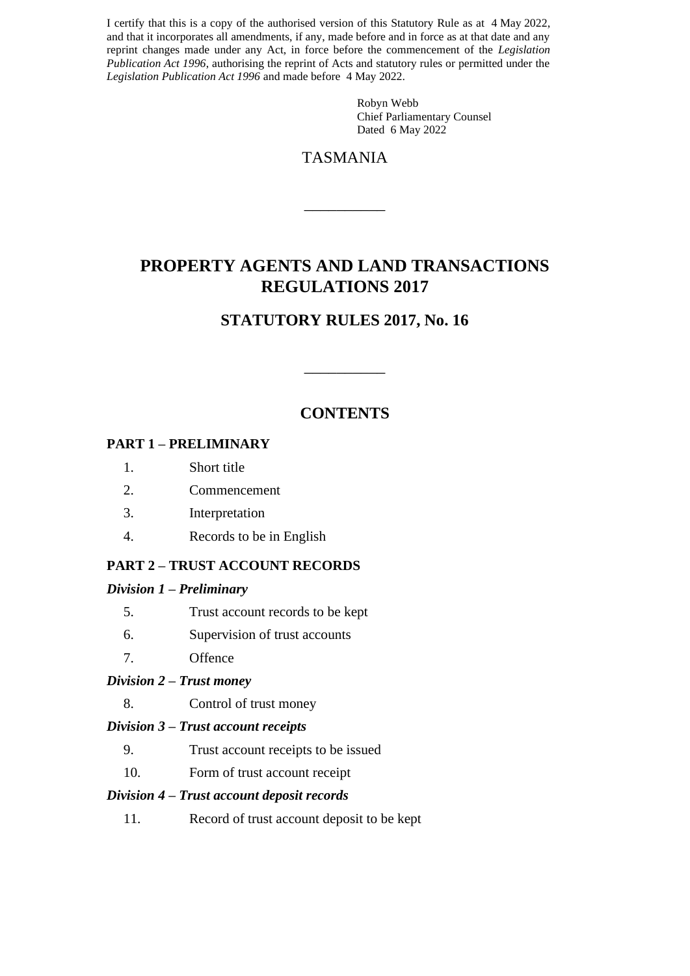I certify that this is a copy of the authorised version of this Statutory Rule as at 4 May 2022, and that it incorporates all amendments, if any, made before and in force as at that date and any reprint changes made under any Act, in force before the commencement of the *Legislation Publication Act 1996*, authorising the reprint of Acts and statutory rules or permitted under the *Legislation Publication Act 1996* and made before 4 May 2022.

> Robyn Webb Chief Parliamentary Counsel Dated 6 May 2022

## TASMANIA

 $\overline{\phantom{a}}$  , we can also the contract of  $\overline{\phantom{a}}$ 

# **PROPERTY AGENTS AND LAND TRANSACTIONS REGULATIONS 2017**

# **STATUTORY RULES 2017, No. 16**

## **CONTENTS**

 $\overline{\phantom{a}}$  , we can also the contract of  $\overline{\phantom{a}}$ 

#### **PART 1 – PRELIMINARY**

- 1. Short title
- 2. Commencement
- 3. Interpretation
- 4. Records to be in English

#### **PART 2 – TRUST ACCOUNT RECORDS**

#### *Division 1 – Preliminary*

- 5. Trust account records to be kept
- 6. Supervision of trust accounts
- 7. Offence

#### *Division 2 – Trust money*

8. Control of trust money

#### *Division 3 – Trust account receipts*

- 9. Trust account receipts to be issued
- 10. Form of trust account receipt

#### *Division 4 – Trust account deposit records*

11. Record of trust account deposit to be kept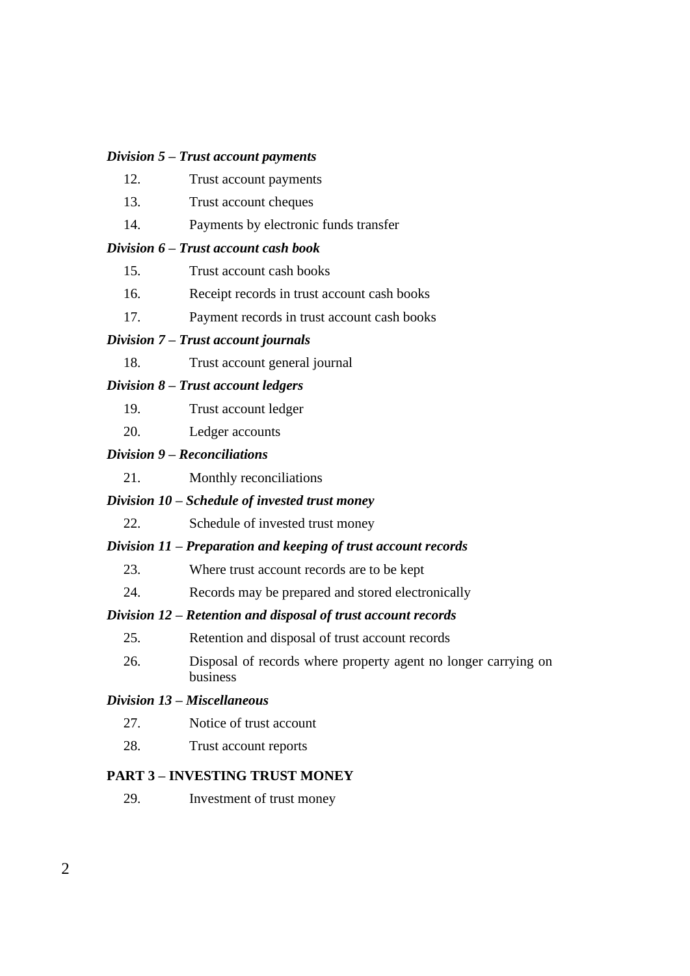#### *Division 5 – Trust account payments*

| 12. | Trust account payments |
|-----|------------------------|
|-----|------------------------|

- 13. Trust account cheques
- 14. Payments by electronic funds transfer

#### *Division 6 – Trust account cash book*

- 15. Trust account cash books
- 16. Receipt records in trust account cash books
- 17. Payment records in trust account cash books

#### *Division 7 – Trust account journals*

18. Trust account general journal

#### *Division 8 – Trust account ledgers*

- 19. Trust account ledger
- 20. Ledger accounts

#### *Division 9 – Reconciliations*

21. Monthly reconciliations

#### *Division 10 – Schedule of invested trust money*

22. Schedule of invested trust money

#### *Division 11 – Preparation and keeping of trust account records*

- 23. Where trust account records are to be kept
- 24. Records may be prepared and stored electronically

#### *Division 12 – Retention and disposal of trust account records*

- 25. Retention and disposal of trust account records
- 26. Disposal of records where property agent no longer carrying on business

#### *Division 13 – Miscellaneous*

- 27. Notice of trust account
- 28. Trust account reports

#### **PART 3 – INVESTING TRUST MONEY**

29. Investment of trust money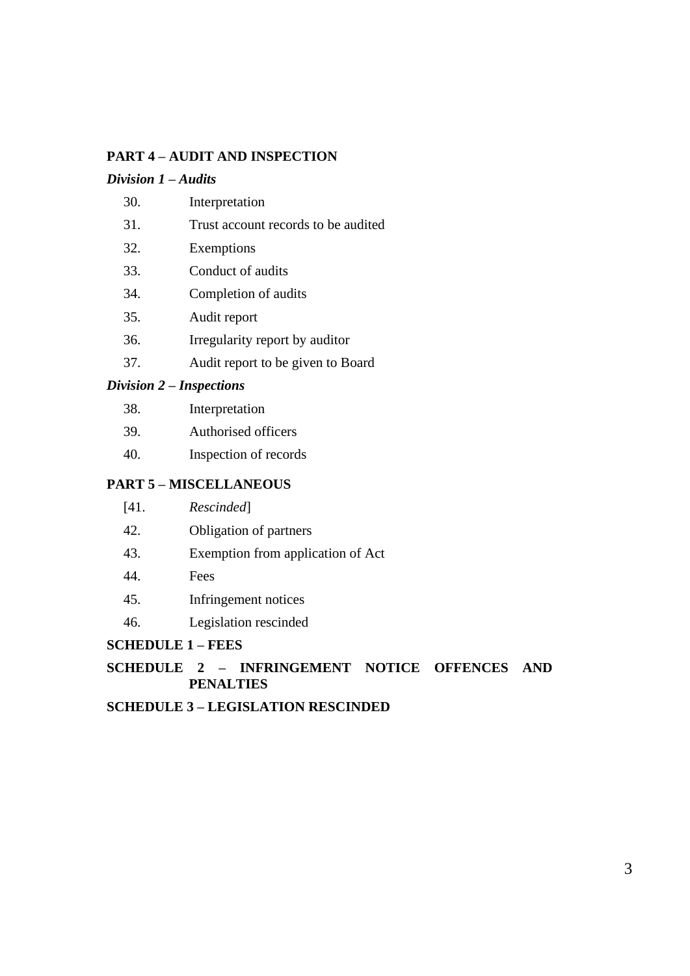### **PART 4 – AUDIT AND INSPECTION**

#### *Division 1 – Audits*

- 30. Interpretation
- 31. Trust account records to be audited
- 32. Exemptions
- 33. Conduct of audits
- 34. Completion of audits
- 35. Audit report
- 36. Irregularity report by auditor
- 37. Audit report to be given to Board

#### *Division 2 – Inspections*

| 38. | Interpretation |
|-----|----------------|
|-----|----------------|

- 39. Authorised officers
- 40. Inspection of records

#### **PART 5 – MISCELLANEOUS**

- 42. Obligation of partners
- 43. Exemption from application of Act
- 44. Fees
- 45. Infringement notices
- 46. Legislation rescinded

#### **SCHEDULE 1 – FEES**

#### **SCHEDULE 2 – INFRINGEMENT NOTICE OFFENCES AND PENALTIES**

#### **SCHEDULE 3 – LEGISLATION RESCINDED**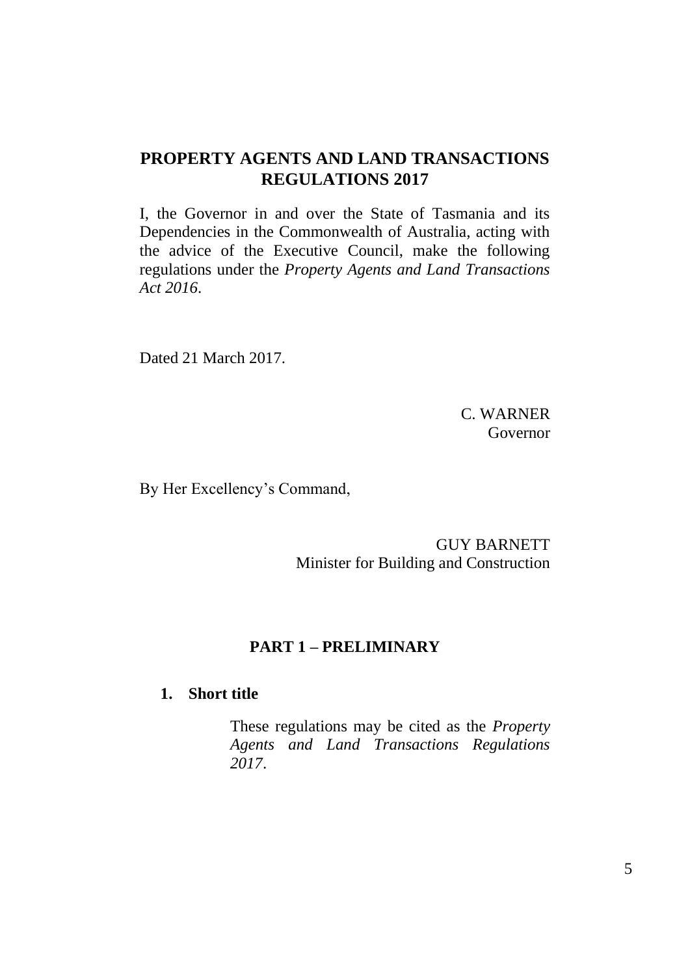# **PROPERTY AGENTS AND LAND TRANSACTIONS REGULATIONS 2017**

I, the Governor in and over the State of Tasmania and its Dependencies in the Commonwealth of Australia, acting with the advice of the Executive Council, make the following regulations under the *Property Agents and Land Transactions Act 2016*.

Dated 21 March 2017.

C. WARNER Governor

By Her Excellency's Command,

GUY BARNETT Minister for Building and Construction

## **PART 1 – PRELIMINARY**

### **1. Short title**

These regulations may be cited as the *Property Agents and Land Transactions Regulations 2017*.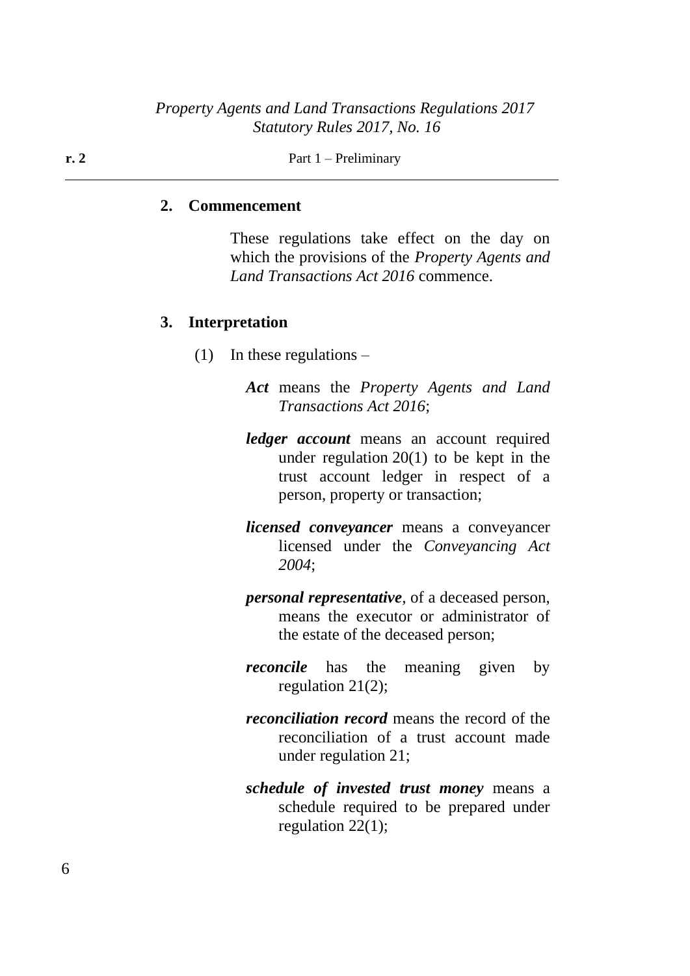**r. 2** Part 1 – Preliminary

#### **2. Commencement**

These regulations take effect on the day on which the provisions of the *Property Agents and Land Transactions Act 2016* commence.

#### **3. Interpretation**

- (1) In these regulations  $-$ 
	- *Act* means the *Property Agents and Land Transactions Act 2016*;
	- *ledger account* means an account required under regulation 20(1) to be kept in the trust account ledger in respect of a person, property or transaction;
	- *licensed conveyancer* means a conveyancer licensed under the *Conveyancing Act 2004*;
	- *personal representative*, of a deceased person, means the executor or administrator of the estate of the deceased person;
	- *reconcile* has the meaning given by regulation 21(2);
	- *reconciliation record* means the record of the reconciliation of a trust account made under regulation 21;
	- *schedule of invested trust money* means a schedule required to be prepared under regulation 22(1);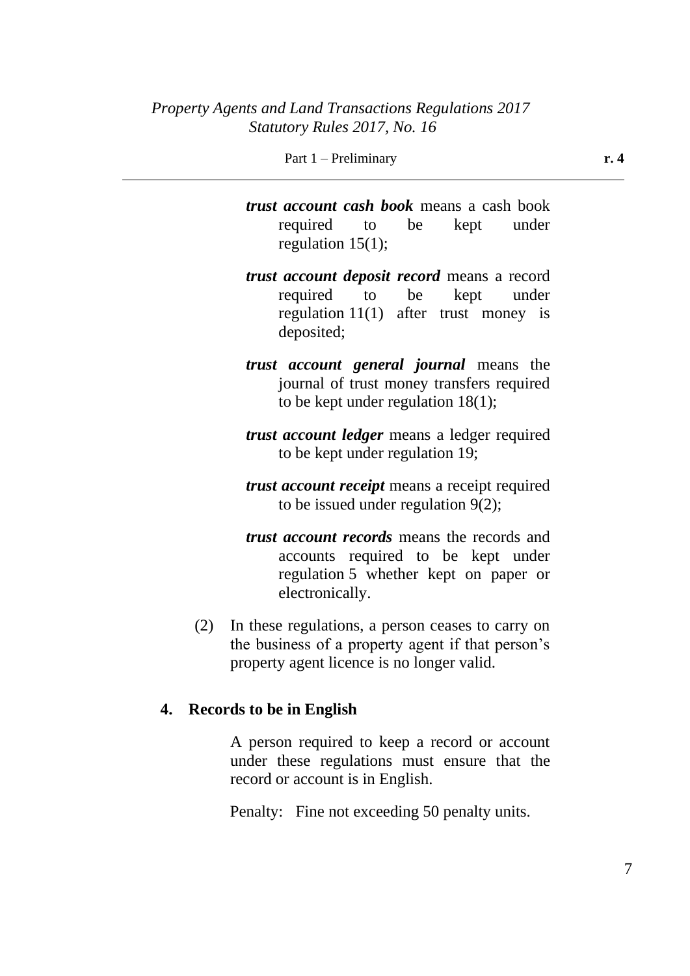Part 1 – Preliminary **r. 4** 

*trust account cash book* means a cash book required to be kept under regulation 15(1);

- *trust account deposit record* means a record required to be kept under regulation 11(1) after trust money is deposited;
- *trust account general journal* means the journal of trust money transfers required to be kept under regulation 18(1);
- *trust account ledger* means a ledger required to be kept under regulation 19;
- *trust account receipt* means a receipt required to be issued under regulation 9(2);
- *trust account records* means the records and accounts required to be kept under regulation 5 whether kept on paper or electronically.
- (2) In these regulations, a person ceases to carry on the business of a property agent if that person's property agent licence is no longer valid.

### **4. Records to be in English**

A person required to keep a record or account under these regulations must ensure that the record or account is in English.

Penalty: Fine not exceeding 50 penalty units.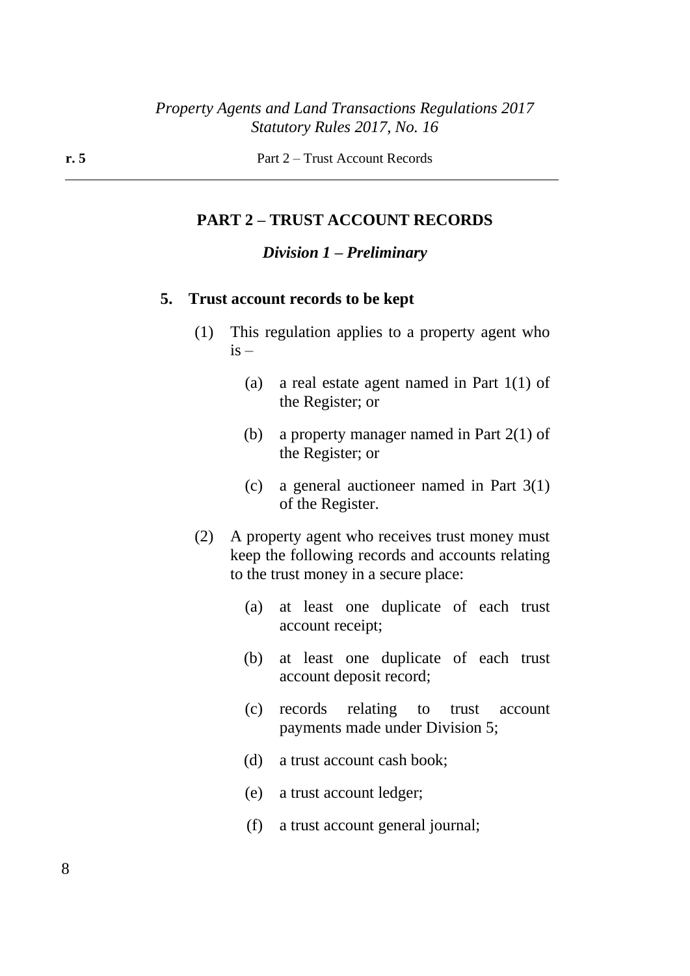#### **PART 2 – TRUST ACCOUNT RECORDS**

#### *Division 1 – Preliminary*

#### **5. Trust account records to be kept**

- (1) This regulation applies to a property agent who  $i\mathbf{s}$  –
	- (a) a real estate agent named in Part 1(1) of the Register; or
	- (b) a property manager named in Part 2(1) of the Register; or
	- (c) a general auctioneer named in Part 3(1) of the Register.
- (2) A property agent who receives trust money must keep the following records and accounts relating to the trust money in a secure place:
	- (a) at least one duplicate of each trust account receipt;
	- (b) at least one duplicate of each trust account deposit record;
	- (c) records relating to trust account payments made under Division 5;
	- (d) a trust account cash book;
	- (e) a trust account ledger;
	- (f) a trust account general journal;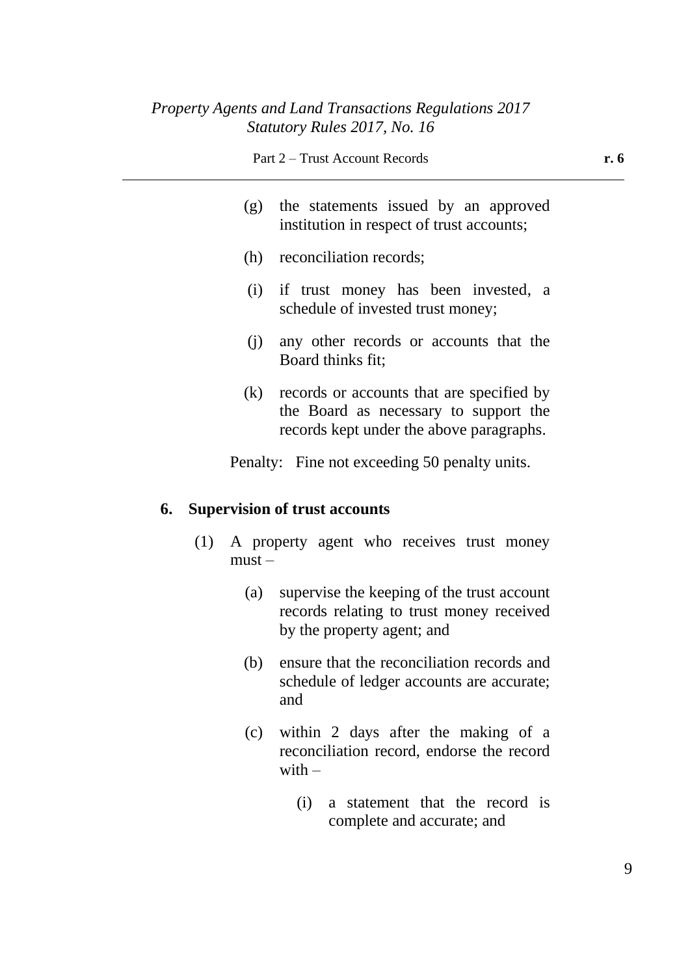- (g) the statements issued by an approved institution in respect of trust accounts;
- (h) reconciliation records;
- (i) if trust money has been invested, a schedule of invested trust money;
- (j) any other records or accounts that the Board thinks fit;
- (k) records or accounts that are specified by the Board as necessary to support the records kept under the above paragraphs.

Penalty: Fine not exceeding 50 penalty units.

#### **6. Supervision of trust accounts**

- (1) A property agent who receives trust money must –
	- (a) supervise the keeping of the trust account records relating to trust money received by the property agent; and
	- (b) ensure that the reconciliation records and schedule of ledger accounts are accurate; and
	- (c) within 2 days after the making of a reconciliation record, endorse the record with  $-$ 
		- (i) a statement that the record is complete and accurate; and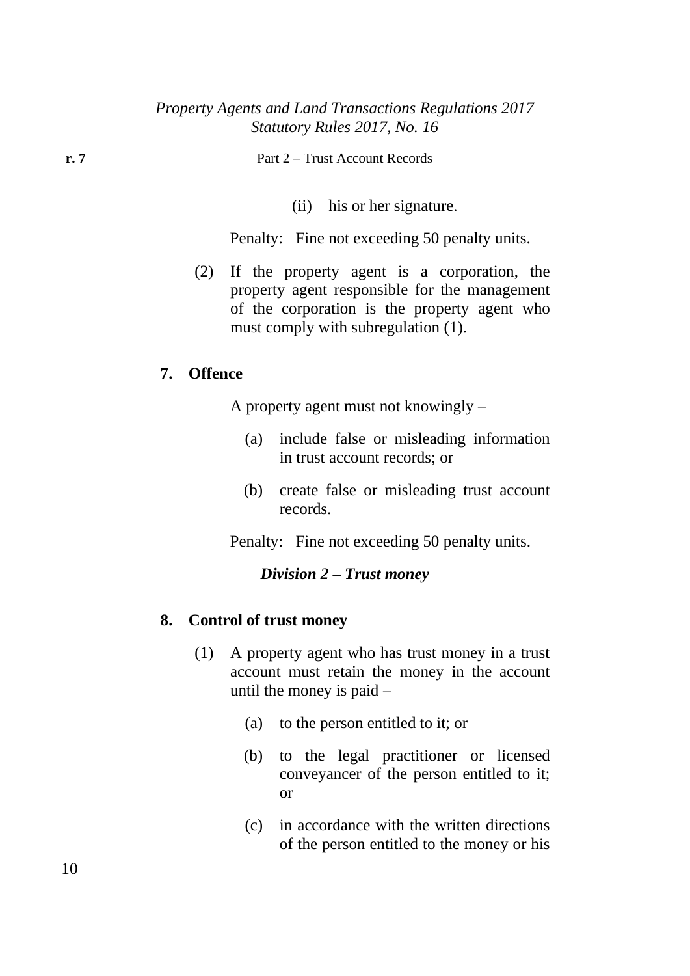(ii) his or her signature.

Penalty: Fine not exceeding 50 penalty units.

(2) If the property agent is a corporation, the property agent responsible for the management of the corporation is the property agent who must comply with subregulation (1).

#### **7. Offence**

A property agent must not knowingly –

- (a) include false or misleading information in trust account records; or
- (b) create false or misleading trust account records.

Penalty: Fine not exceeding 50 penalty units.

#### *Division 2 – Trust money*

#### **8. Control of trust money**

- (1) A property agent who has trust money in a trust account must retain the money in the account until the money is paid –
	- (a) to the person entitled to it; or
	- (b) to the legal practitioner or licensed conveyancer of the person entitled to it; or
	- (c) in accordance with the written directions of the person entitled to the money or his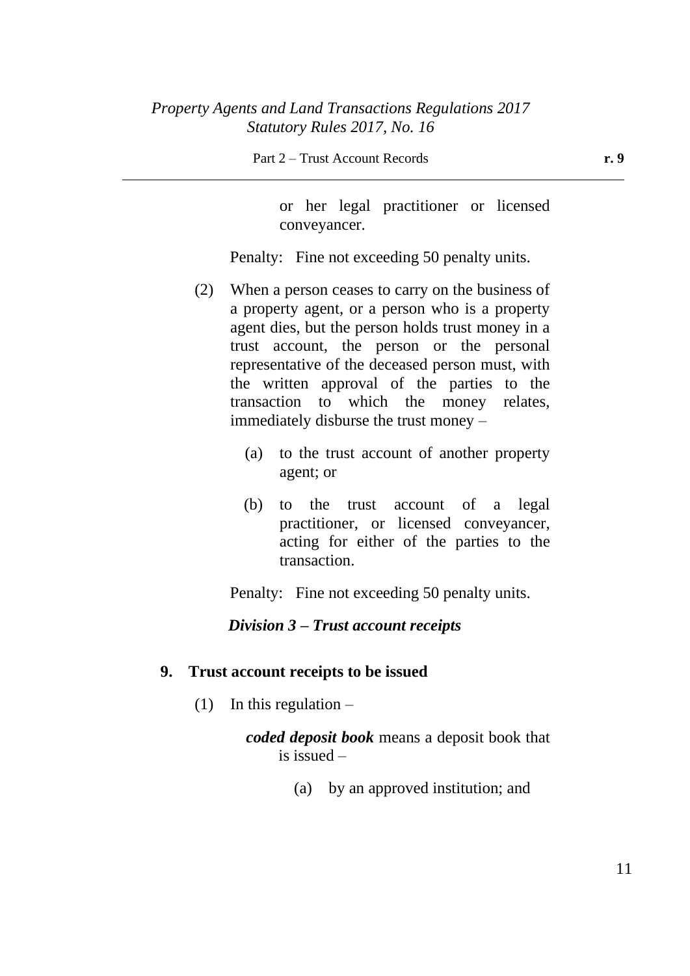Part 2 – Trust Account Records **r. 9**

or her legal practitioner or licensed conveyancer.

Penalty: Fine not exceeding 50 penalty units.

- (2) When a person ceases to carry on the business of a property agent, or a person who is a property agent dies, but the person holds trust money in a trust account, the person or the personal representative of the deceased person must, with the written approval of the parties to the transaction to which the money relates, immediately disburse the trust money –
	- (a) to the trust account of another property agent; or
	- (b) to the trust account of a legal practitioner, or licensed conveyancer, acting for either of the parties to the transaction.

Penalty: Fine not exceeding 50 penalty units.

### *Division 3 – Trust account receipts*

### **9. Trust account receipts to be issued**

(1) In this regulation  $-$ 

*coded deposit book* means a deposit book that is issued –

(a) by an approved institution; and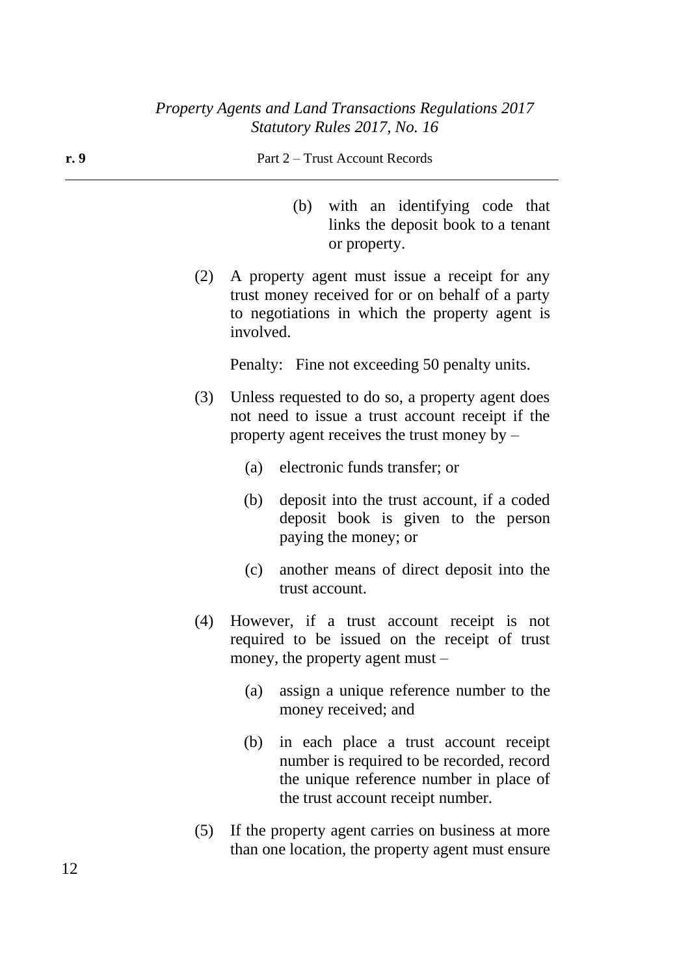**r. 9** Part 2 – Trust Account Records (b) with an identifying code that links the deposit book to a tenant or property. (2) A property agent must issue a receipt for any trust money received for or on behalf of a party to negotiations in which the property agent is involved. Penalty: Fine not exceeding 50 penalty units. (3) Unless requested to do so, a property agent does not need to issue a trust account receipt if the property agent receives the trust money by – (a) electronic funds transfer; or (b) deposit into the trust account, if a coded deposit book is given to the person paying the money; or

- (c) another means of direct deposit into the trust account.
- (4) However, if a trust account receipt is not required to be issued on the receipt of trust money, the property agent must –
	- (a) assign a unique reference number to the money received; and
	- (b) in each place a trust account receipt number is required to be recorded, record the unique reference number in place of the trust account receipt number.
- (5) If the property agent carries on business at more than one location, the property agent must ensure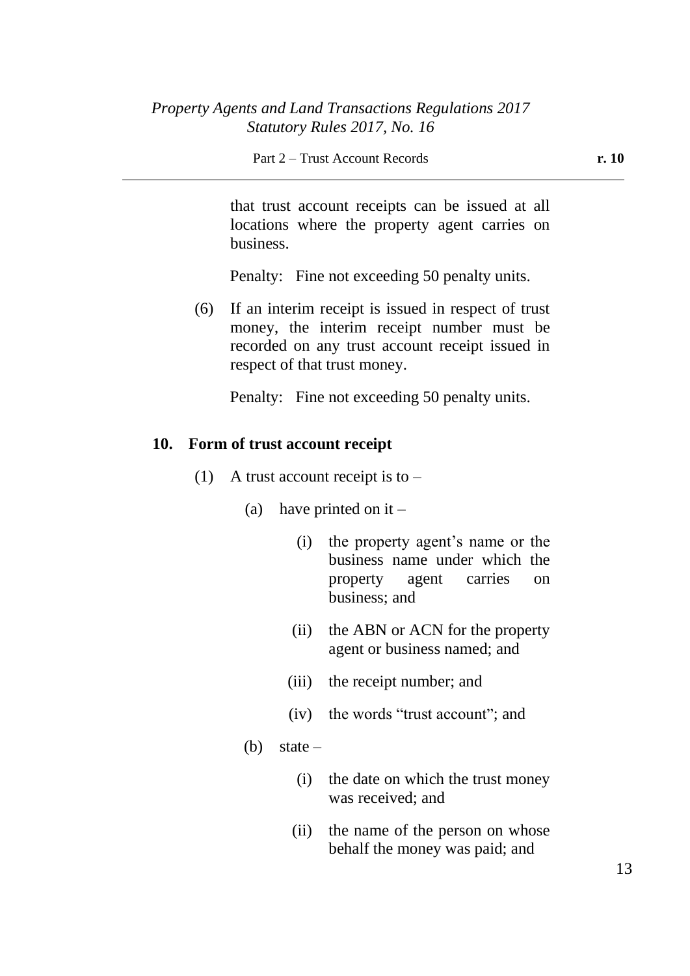that trust account receipts can be issued at all locations where the property agent carries on business.

Penalty: Fine not exceeding 50 penalty units.

(6) If an interim receipt is issued in respect of trust money, the interim receipt number must be recorded on any trust account receipt issued in respect of that trust money.

Penalty: Fine not exceeding 50 penalty units.

#### **10. Form of trust account receipt**

- (1) A trust account receipt is to  $-$ 
	- (a) have printed on it  $-$ 
		- (i) the property agent's name or the business name under which the property agent carries on business; and
		- (ii) the ABN or ACN for the property agent or business named; and
		- (iii) the receipt number; and
		- (iv) the words "trust account"; and
	- (b) state  $-$ 
		- (i) the date on which the trust money was received; and
		- (ii) the name of the person on whose behalf the money was paid; and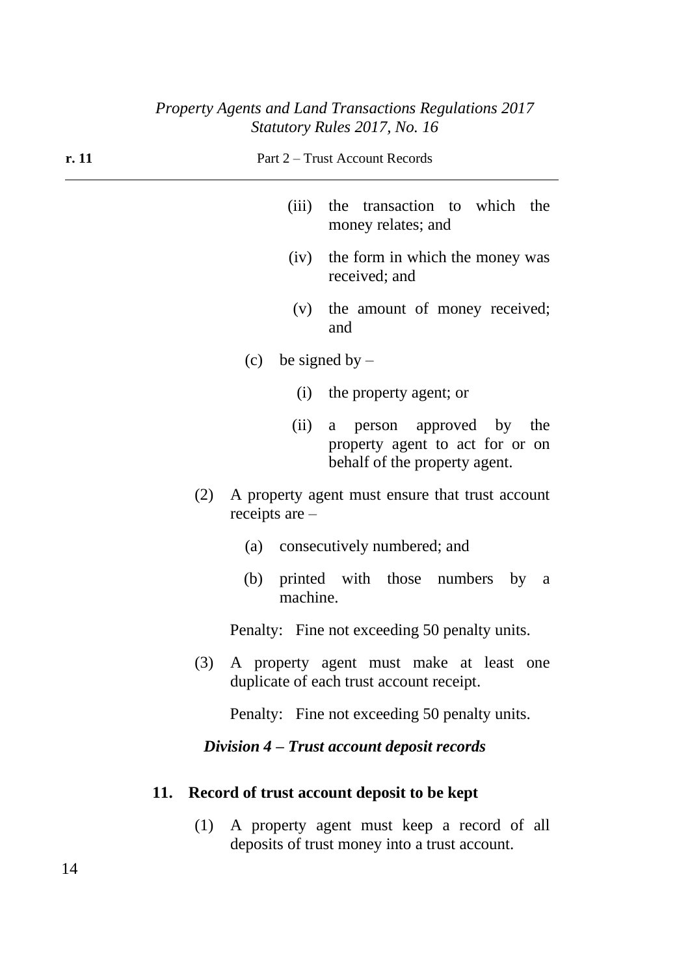| r. 11 | Part 2 – Trust Account Records                                                                       |  |  |
|-------|------------------------------------------------------------------------------------------------------|--|--|
|       | (iii)<br>the transaction to which the<br>money relates; and                                          |  |  |
|       | the form in which the money was<br>(iv)<br>received; and                                             |  |  |
|       | the amount of money received;<br>(V)<br>and                                                          |  |  |
|       | (c) be signed by $-$                                                                                 |  |  |
|       | (i) the property agent; or                                                                           |  |  |
|       | (ii)<br>a person approved by the<br>property agent to act for or on<br>behalf of the property agent. |  |  |
|       | (2)<br>A property agent must ensure that trust account<br>receipts are $-$                           |  |  |
|       | (a) consecutively numbered; and                                                                      |  |  |
|       | printed with those numbers by<br>(b)<br><sub>a</sub><br>machine.                                     |  |  |
|       | Penalty: Fine not exceeding 50 penalty units.                                                        |  |  |
|       | (3) A property agent must make at least one<br>duplicate of each trust account receipt.              |  |  |
|       | Penalty: Fine not exceeding 50 penalty units.                                                        |  |  |
|       | Division 4 – Trust account deposit records                                                           |  |  |
| 11.   | Record of trust account deposit to be kept                                                           |  |  |
|       | A property agent must keep a record of all<br>(1)<br>deposits of trust money into a trust account.   |  |  |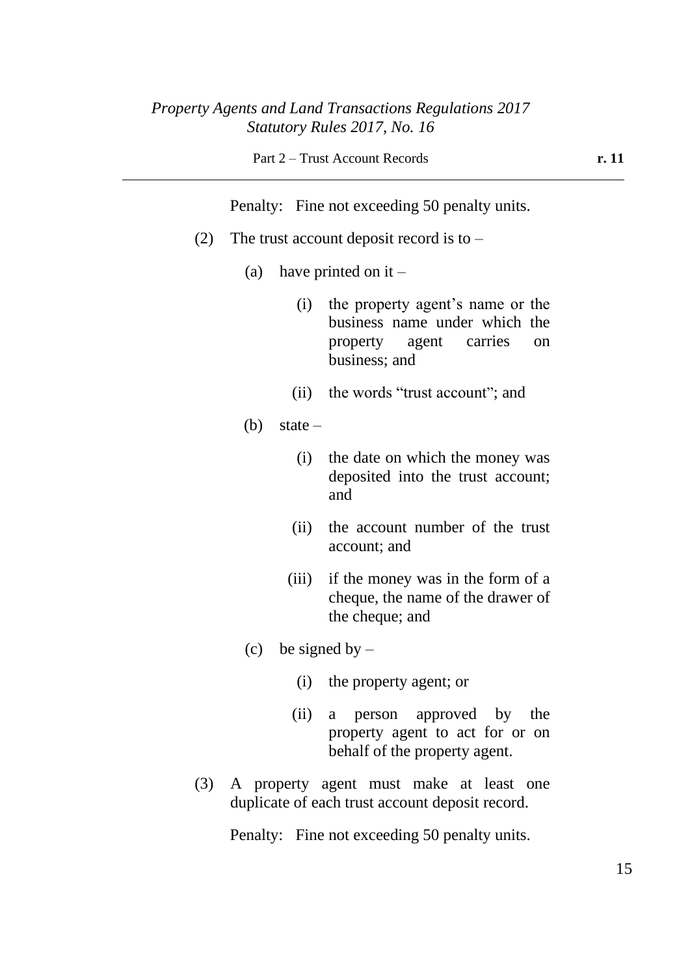Penalty: Fine not exceeding 50 penalty units.

- (2) The trust account deposit record is to  $-$ 
	- (a) have printed on it
		- (i) the property agent's name or the business name under which the property agent carries on business; and
		- (ii) the words "trust account"; and
	- (b) state  $-$ 
		- (i) the date on which the money was deposited into the trust account; and
		- (ii) the account number of the trust account; and
		- (iii) if the money was in the form of a cheque, the name of the drawer of the cheque; and
	- (c) be signed by  $-$ 
		- (i) the property agent; or
		- (ii) a person approved by the property agent to act for or on behalf of the property agent.
- (3) A property agent must make at least one duplicate of each trust account deposit record.

Penalty: Fine not exceeding 50 penalty units.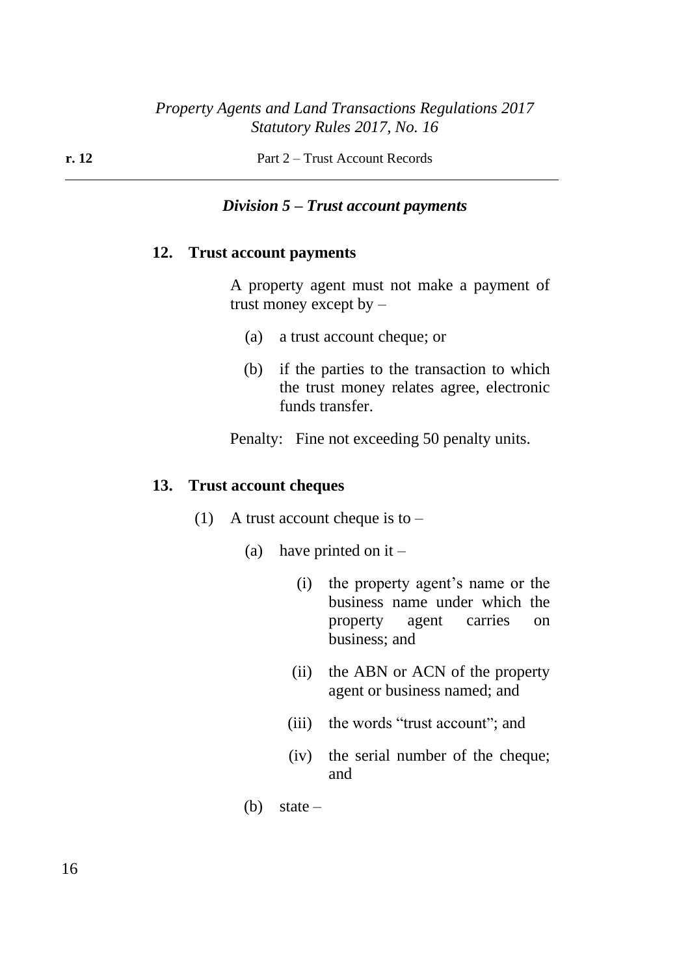#### *Division 5 – Trust account payments*

#### **12. Trust account payments**

A property agent must not make a payment of trust money except by –

- (a) a trust account cheque; or
- (b) if the parties to the transaction to which the trust money relates agree, electronic funds transfer.

Penalty: Fine not exceeding 50 penalty units.

#### **13. Trust account cheques**

- (1) A trust account cheque is to  $-$ 
	- (a) have printed on it  $-$ 
		- (i) the property agent's name or the business name under which the property agent carries on business; and
		- (ii) the ABN or ACN of the property agent or business named; and
		- (iii) the words "trust account"; and
		- (iv) the serial number of the cheque; and
	- (b) state  $-$

16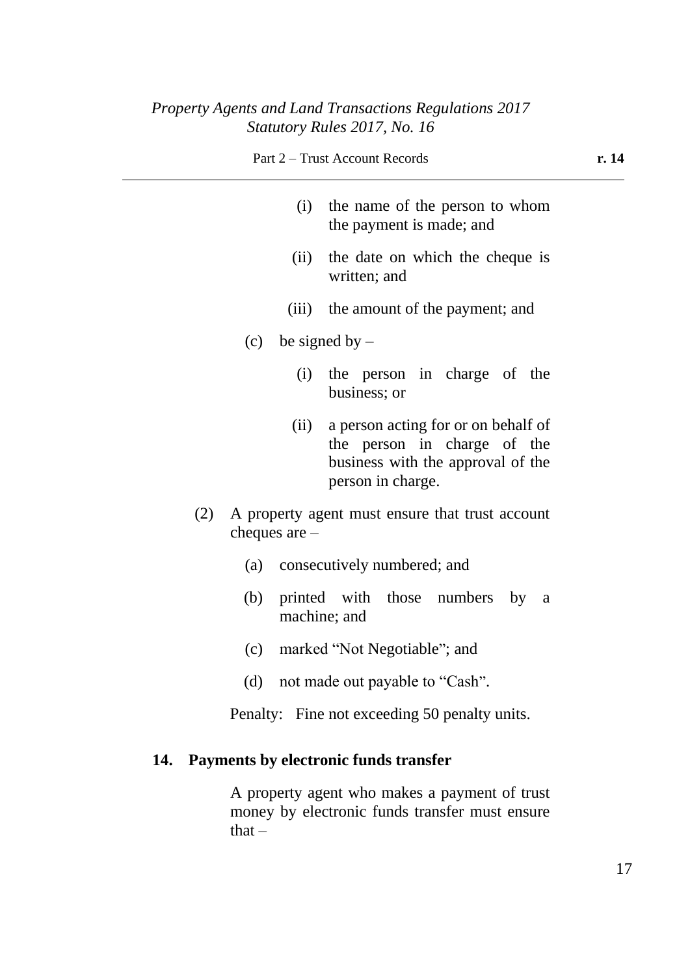| Part 2 – Trust Account Records | r. 14 |
|--------------------------------|-------|
|--------------------------------|-------|

- 
- (i) the name of the person to whom the payment is made; and
- (ii) the date on which the cheque is written; and
- (iii) the amount of the payment; and
- (c) be signed by  $-$ 
	- (i) the person in charge of the business; or
	- (ii) a person acting for or on behalf of the person in charge of the business with the approval of the person in charge.
- (2) A property agent must ensure that trust account cheques are –
	- (a) consecutively numbered; and
	- (b) printed with those numbers by a machine; and
	- (c) marked "Not Negotiable"; and
	- (d) not made out payable to "Cash".

Penalty: Fine not exceeding 50 penalty units.

#### **14. Payments by electronic funds transfer**

A property agent who makes a payment of trust money by electronic funds transfer must ensure  $that -$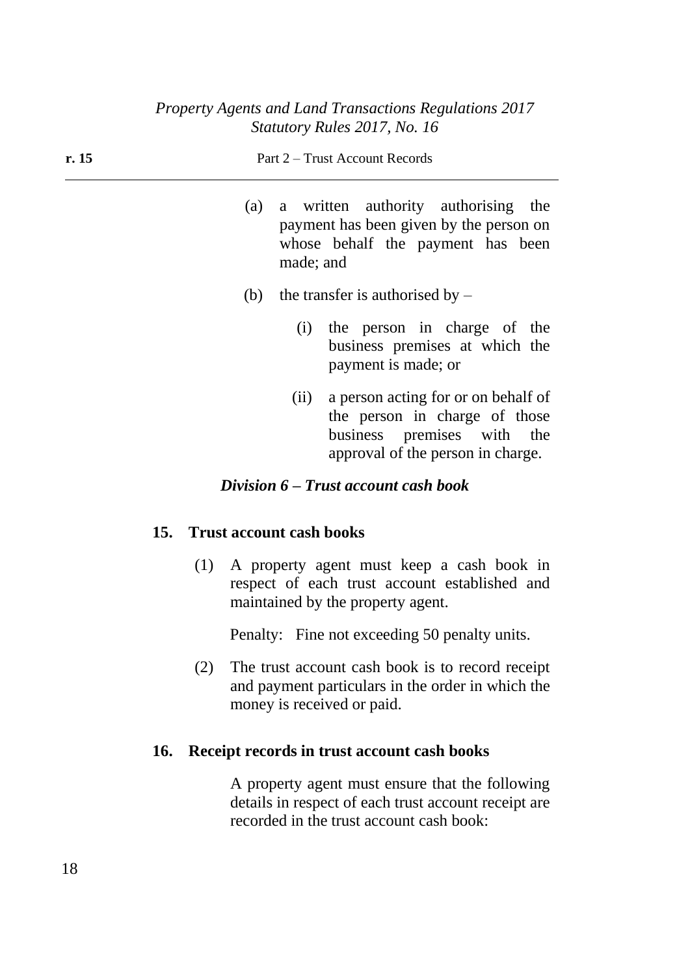| r. 15 |     | Part 2 – Trust Account Records                                                                                                       |
|-------|-----|--------------------------------------------------------------------------------------------------------------------------------------|
|       |     | (a) a written authority authorising the<br>payment has been given by the person on<br>whose behalf the payment has been<br>made; and |
|       | (b) | the transfer is authorised by $-$                                                                                                    |
|       |     | the person in charge of the<br>(i)<br>business premises at which the<br>payment is made; or                                          |
|       |     | a person acting for or on behalf of<br>(11)                                                                                          |

the person in charge of those business premises with the approval of the person in charge.

### *Division 6 – Trust account cash book*

### **15. Trust account cash books**

(1) A property agent must keep a cash book in respect of each trust account established and maintained by the property agent.

Penalty: Fine not exceeding 50 penalty units.

(2) The trust account cash book is to record receipt and payment particulars in the order in which the money is received or paid.

### **16. Receipt records in trust account cash books**

A property agent must ensure that the following details in respect of each trust account receipt are recorded in the trust account cash book: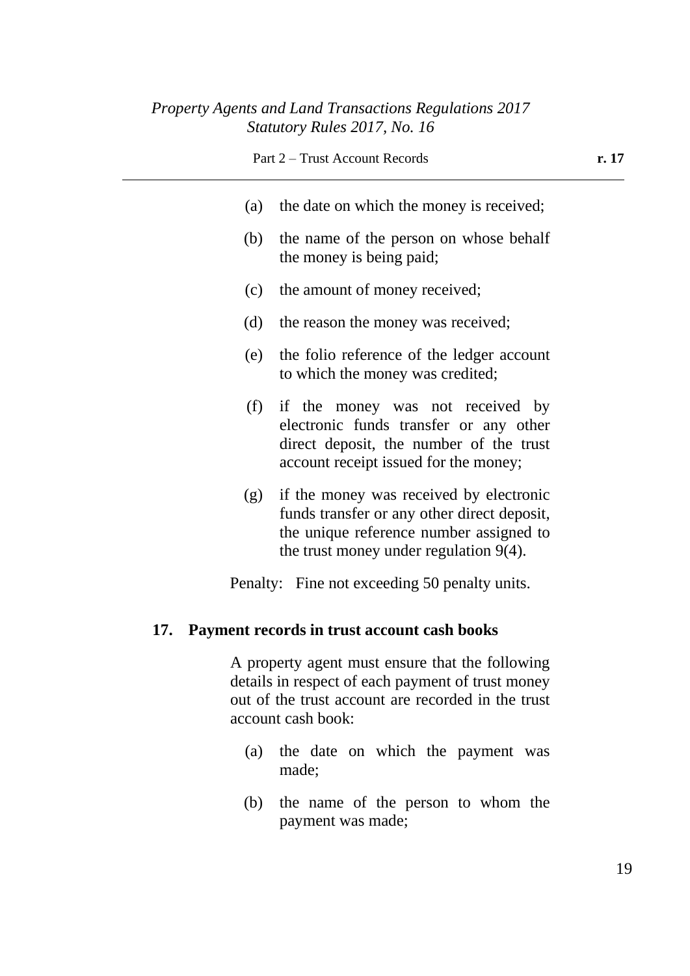| r. 17 |
|-------|
|       |
|       |
|       |
|       |
|       |
|       |
|       |
|       |

Penalty: Fine not exceeding 50 penalty units.

# **17. Payment records in trust account cash books**

A property agent must ensure that the following details in respect of each payment of trust money out of the trust account are recorded in the trust account cash book:

- (a) the date on which the payment was made;
- (b) the name of the person to whom the payment was made;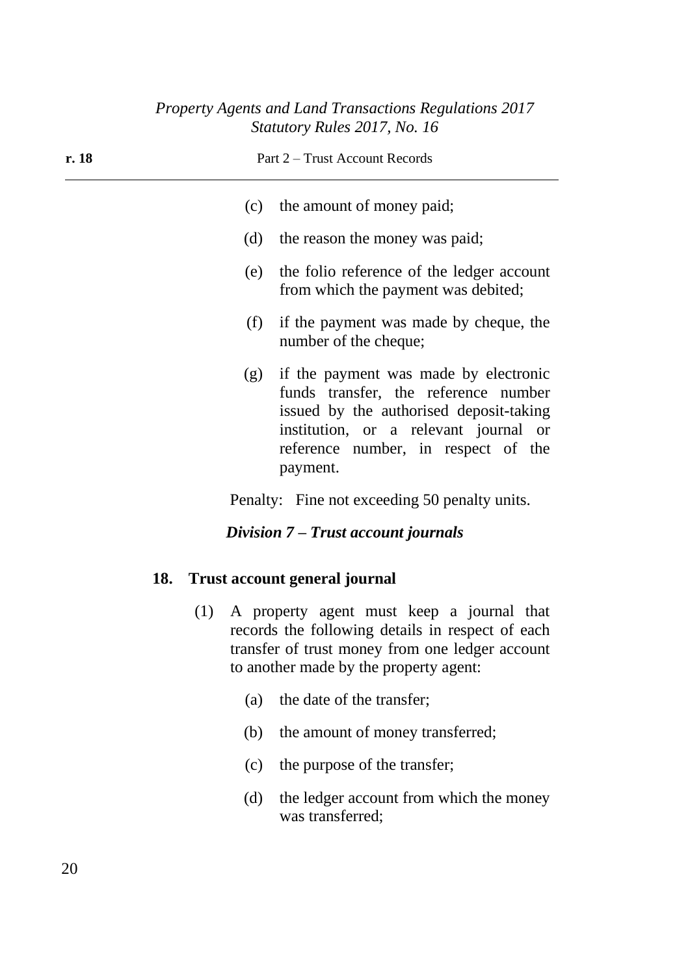| r. 18 |     |                                                                                                                                                                                                                          | Part 2 – Trust Account Records                                                   |
|-------|-----|--------------------------------------------------------------------------------------------------------------------------------------------------------------------------------------------------------------------------|----------------------------------------------------------------------------------|
|       |     |                                                                                                                                                                                                                          | (c) the amount of money paid;                                                    |
|       |     | (d) the reason the money was paid;                                                                                                                                                                                       |                                                                                  |
|       |     | (e)                                                                                                                                                                                                                      | the folio reference of the ledger account<br>from which the payment was debited; |
|       |     | (f)                                                                                                                                                                                                                      | if the payment was made by cheque, the<br>number of the cheque;                  |
|       |     | (g) if the payment was made by electronic<br>funds transfer, the reference number<br>issued by the authorised deposit-taking<br>institution, or a relevant journal or<br>reference number, in respect of the<br>payment. |                                                                                  |
|       |     |                                                                                                                                                                                                                          | Penalty: Fine not exceeding 50 penalty units.                                    |
|       |     |                                                                                                                                                                                                                          | Division 7 – Trust account journals                                              |
|       | 18. |                                                                                                                                                                                                                          | <b>Trust account general journal</b>                                             |
|       |     | (1) A property agent must keep a journal that<br>records the following details in respect of each<br>transfer of trust money from one ledger account<br>to another made by the property agent:                           |                                                                                  |
|       |     | (a)                                                                                                                                                                                                                      | the date of the transfer;                                                        |
|       |     | (b)                                                                                                                                                                                                                      | the amount of money transferred;                                                 |
|       |     | (c)                                                                                                                                                                                                                      | the purpose of the transfer;                                                     |
|       |     | (d)                                                                                                                                                                                                                      | the ledger account from which the money<br>was transferred;                      |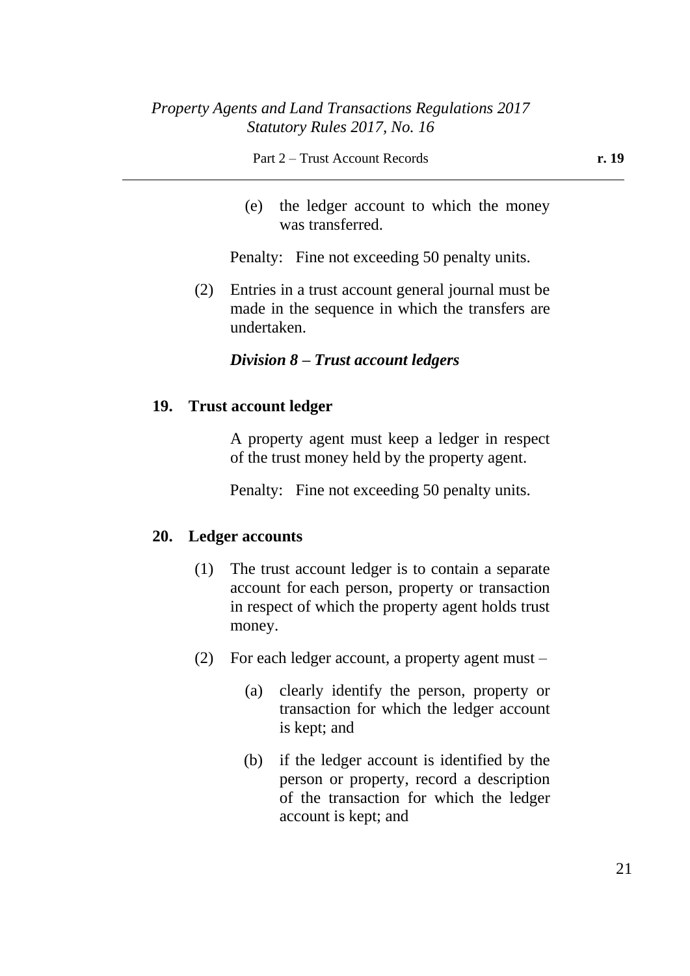(e) the ledger account to which the money was transferred.

Penalty: Fine not exceeding 50 penalty units.

(2) Entries in a trust account general journal must be made in the sequence in which the transfers are undertaken.

### *Division 8 – Trust account ledgers*

### **19. Trust account ledger**

A property agent must keep a ledger in respect of the trust money held by the property agent.

Penalty: Fine not exceeding 50 penalty units.

#### **20. Ledger accounts**

- (1) The trust account ledger is to contain a separate account for each person, property or transaction in respect of which the property agent holds trust money.
- (2) For each ledger account, a property agent must
	- (a) clearly identify the person, property or transaction for which the ledger account is kept; and
	- (b) if the ledger account is identified by the person or property, record a description of the transaction for which the ledger account is kept; and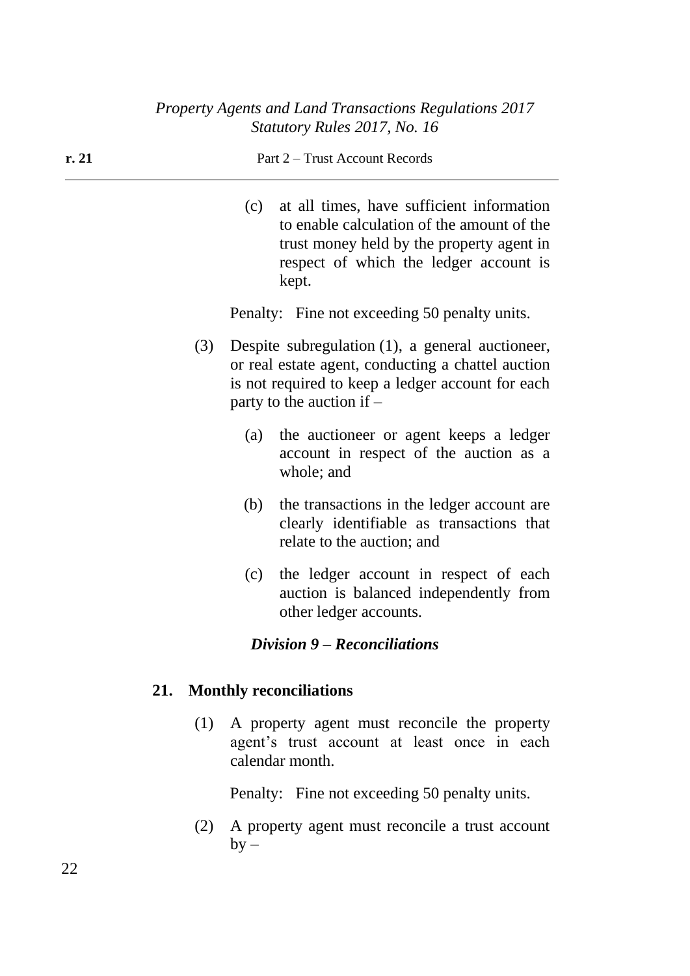# **r. 21** Part 2 – Trust Account Records (c) at all times, have sufficient information to enable calculation of the amount of the trust money held by the property agent in respect of which the ledger account is kept.

Penalty: Fine not exceeding 50 penalty units.

- (3) Despite subregulation (1), a general auctioneer, or real estate agent, conducting a chattel auction is not required to keep a ledger account for each party to the auction if –
	- (a) the auctioneer or agent keeps a ledger account in respect of the auction as a whole; and
	- (b) the transactions in the ledger account are clearly identifiable as transactions that relate to the auction; and
	- (c) the ledger account in respect of each auction is balanced independently from other ledger accounts.

## *Division 9 – Reconciliations*

## **21. Monthly reconciliations**

(1) A property agent must reconcile the property agent's trust account at least once in each calendar month.

Penalty: Fine not exceeding 50 penalty units.

(2) A property agent must reconcile a trust account  $by -$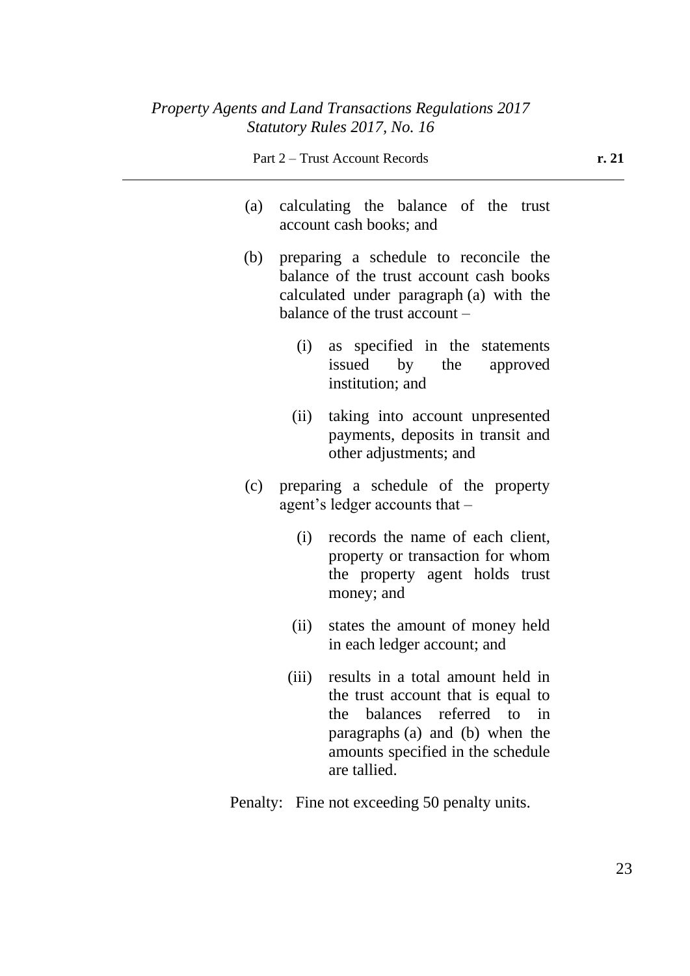- (a) calculating the balance of the trust account cash books; and
- (b) preparing a schedule to reconcile the balance of the trust account cash books calculated under paragraph (a) with the balance of the trust account –
	- (i) as specified in the statements issued by the approved institution; and
	- (ii) taking into account unpresented payments, deposits in transit and other adjustments; and
- (c) preparing a schedule of the property agent's ledger accounts that –
	- (i) records the name of each client, property or transaction for whom the property agent holds trust money; and
	- (ii) states the amount of money held in each ledger account; and
	- (iii) results in a total amount held in the trust account that is equal to the balances referred to in paragraphs (a) and (b) when the amounts specified in the schedule are tallied.
- Penalty: Fine not exceeding 50 penalty units.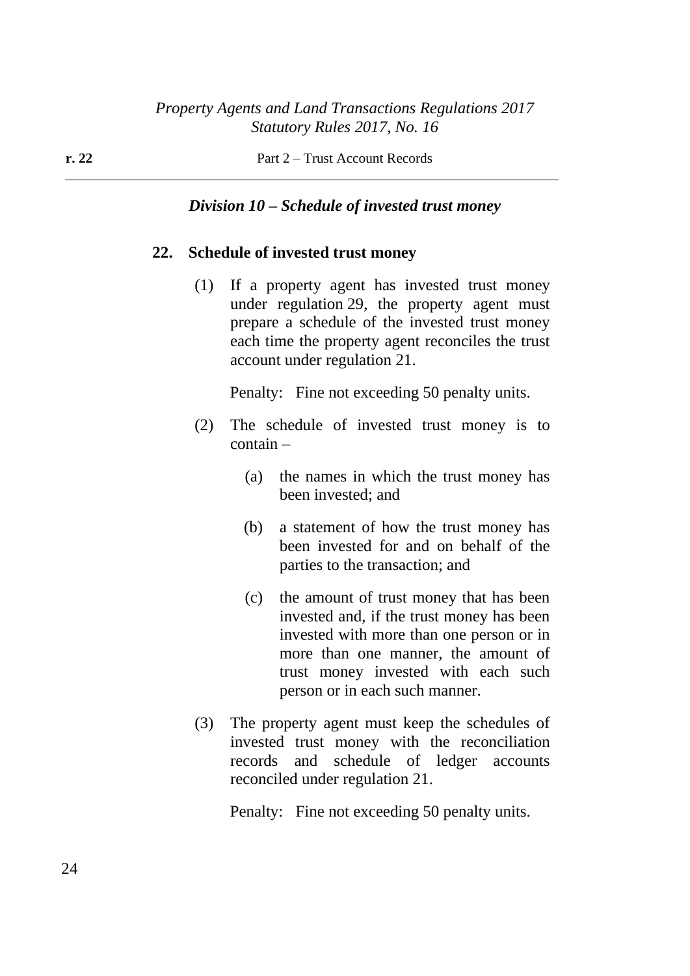### *Division 10 – Schedule of invested trust money*

#### **22. Schedule of invested trust money**

(1) If a property agent has invested trust money under regulation 29, the property agent must prepare a schedule of the invested trust money each time the property agent reconciles the trust account under regulation 21.

Penalty: Fine not exceeding 50 penalty units.

- (2) The schedule of invested trust money is to contain –
	- (a) the names in which the trust money has been invested; and
	- (b) a statement of how the trust money has been invested for and on behalf of the parties to the transaction; and
	- (c) the amount of trust money that has been invested and, if the trust money has been invested with more than one person or in more than one manner, the amount of trust money invested with each such person or in each such manner.
- (3) The property agent must keep the schedules of invested trust money with the reconciliation records and schedule of ledger accounts reconciled under regulation 21.

Penalty: Fine not exceeding 50 penalty units.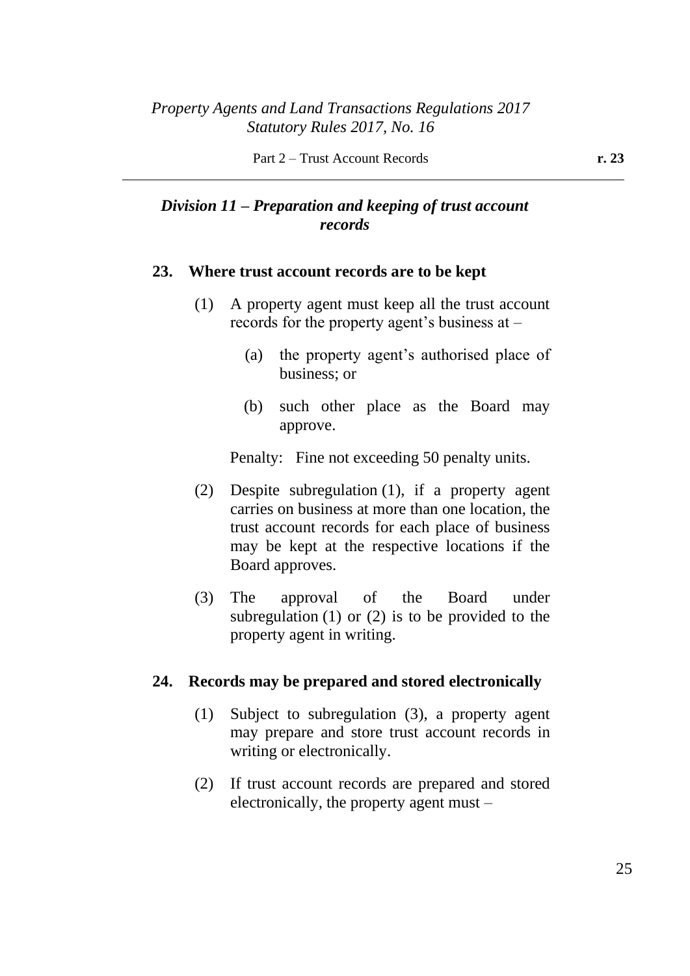# *Division 11 – Preparation and keeping of trust account records*

### **23. Where trust account records are to be kept**

- (1) A property agent must keep all the trust account records for the property agent's business at –
	- (a) the property agent's authorised place of business; or
	- (b) such other place as the Board may approve.

Penalty: Fine not exceeding 50 penalty units.

- (2) Despite subregulation (1), if a property agent carries on business at more than one location, the trust account records for each place of business may be kept at the respective locations if the Board approves.
- (3) The approval of the Board under subregulation (1) or (2) is to be provided to the property agent in writing.

## **24. Records may be prepared and stored electronically**

- (1) Subject to subregulation (3), a property agent may prepare and store trust account records in writing or electronically.
- (2) If trust account records are prepared and stored electronically, the property agent must –

25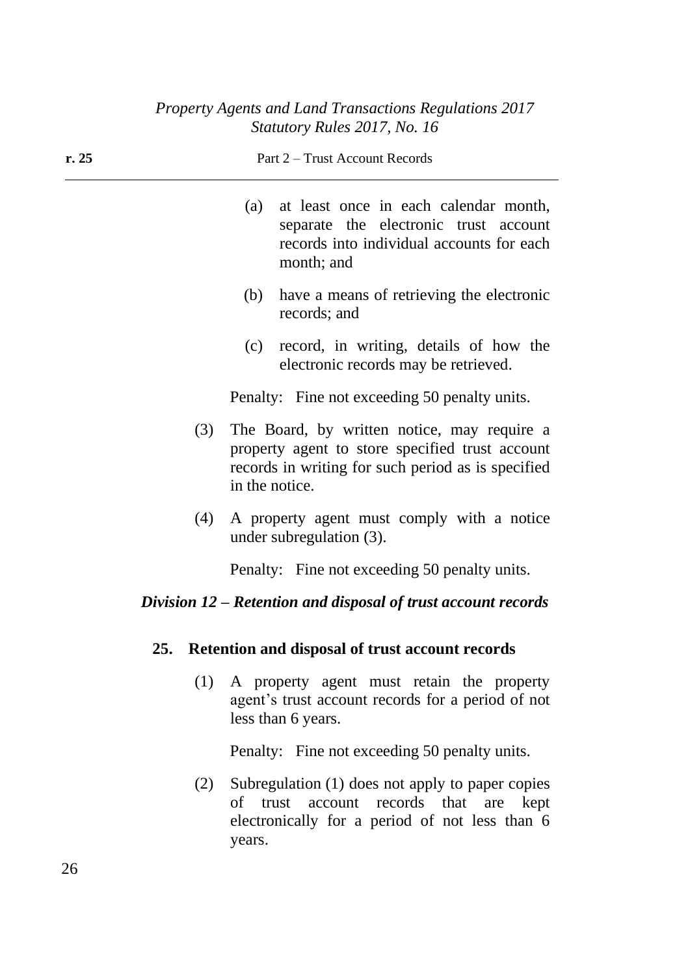| r. 25                                               | Part 2 – Trust Account Records |                                                                                                                                                                        |  |
|-----------------------------------------------------|--------------------------------|------------------------------------------------------------------------------------------------------------------------------------------------------------------------|--|
|                                                     | (a)                            | at least once in each calendar month,<br>separate the electronic trust account<br>records into individual accounts for each<br>month; and                              |  |
|                                                     | (b)                            | have a means of retrieving the electronic<br>records; and                                                                                                              |  |
|                                                     | (c)                            | record, in writing, details of how the<br>electronic records may be retrieved.                                                                                         |  |
|                                                     |                                | Penalty: Fine not exceeding 50 penalty units.                                                                                                                          |  |
|                                                     | (3)                            | The Board, by written notice, may require a<br>property agent to store specified trust account<br>records in writing for such period as is specified<br>in the notice. |  |
|                                                     | (4)                            | A property agent must comply with a notice<br>under subregulation (3).                                                                                                 |  |
|                                                     |                                | Penalty: Fine not exceeding 50 penalty units.                                                                                                                          |  |
|                                                     |                                | Division 12 – Retention and disposal of trust account records                                                                                                          |  |
| 25. Retention and disposal of trust account records |                                |                                                                                                                                                                        |  |
|                                                     | (1)                            | A property agent must retain the property<br>agent's trust account records for a period of not<br>less than 6 years.                                                   |  |
|                                                     |                                | Penalty: Fine not exceeding 50 penalty units.                                                                                                                          |  |
|                                                     | (2)<br>years.                  | Subregulation (1) does not apply to paper copies<br>of trust account records that are<br>kept<br>electronically for a period of not less than 6                        |  |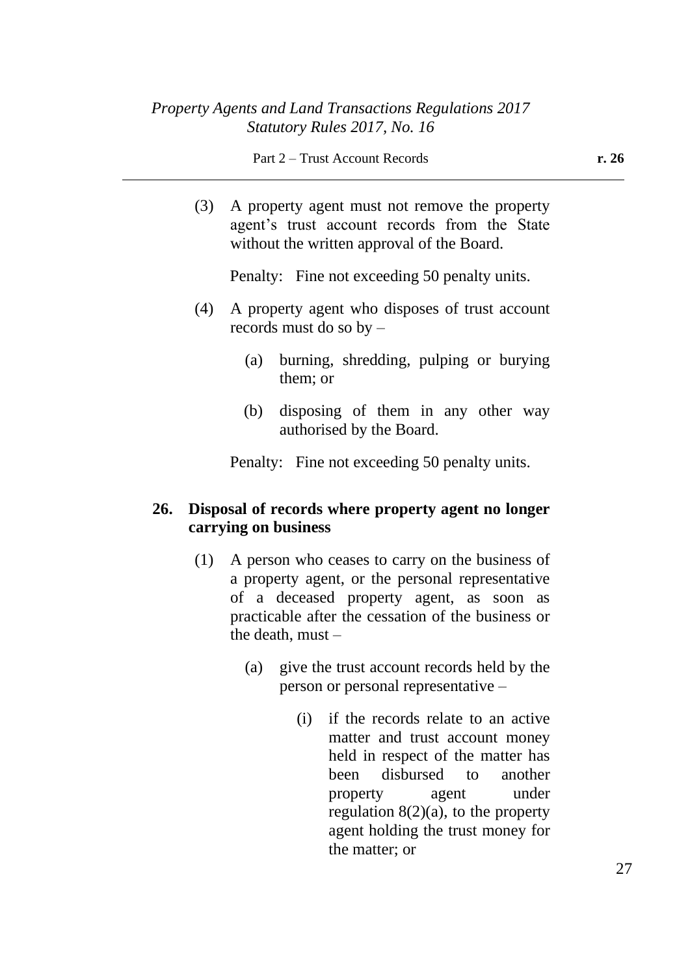(3) A property agent must not remove the property agent's trust account records from the State without the written approval of the Board.

Penalty: Fine not exceeding 50 penalty units.

- (4) A property agent who disposes of trust account records must do so by –
	- (a) burning, shredding, pulping or burying them; or
	- (b) disposing of them in any other way authorised by the Board.

Penalty: Fine not exceeding 50 penalty units.

## **26. Disposal of records where property agent no longer carrying on business**

- (1) A person who ceases to carry on the business of a property agent, or the personal representative of a deceased property agent, as soon as practicable after the cessation of the business or the death, must –
	- (a) give the trust account records held by the person or personal representative –
		- (i) if the records relate to an active matter and trust account money held in respect of the matter has been disbursed to another property agent under regulation  $8(2)(a)$ , to the property agent holding the trust money for the matter; or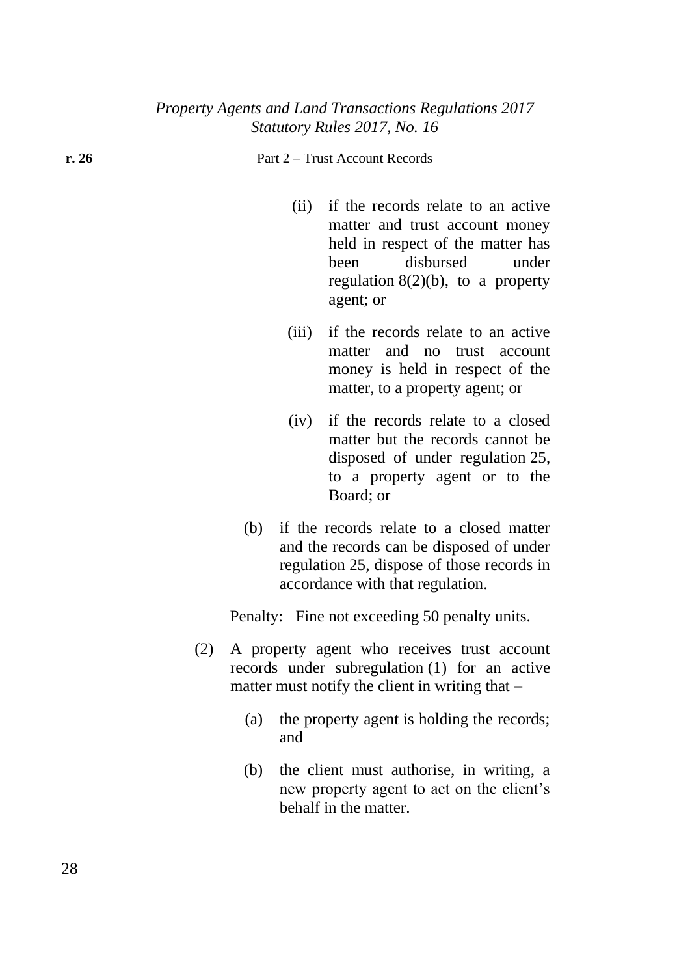**r. 26** Part 2 – Trust Account Records (ii) if the records relate to an active matter and trust account money held in respect of the matter has been disbursed under regulation  $8(2)(b)$ , to a property agent; or (iii) if the records relate to an active matter and no trust account money is held in respect of the matter, to a property agent; or (iv) if the records relate to a closed matter but the records cannot be disposed of under regulation 25, to a property agent or to the Board; or (b) if the records relate to a closed matter and the records can be disposed of under regulation 25, dispose of those records in accordance with that regulation. Penalty: Fine not exceeding 50 penalty units. (2) A property agent who receives trust account records under subregulation (1) for an active matter must notify the client in writing that  $-$ (a) the property agent is holding the records; and (b) the client must authorise, in writing, a new property agent to act on the client's

behalf in the matter.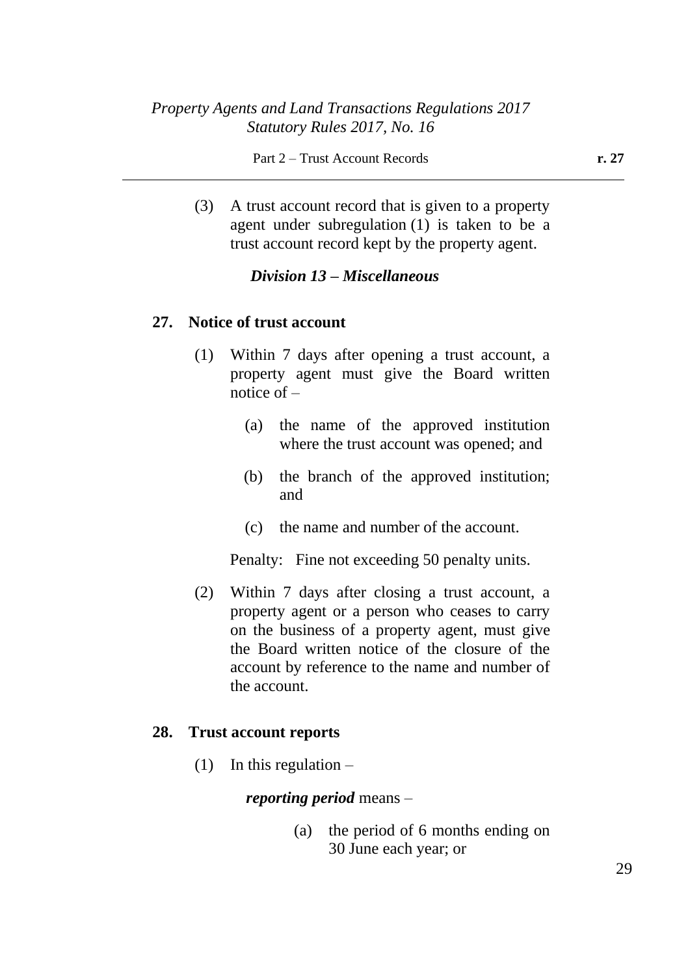(3) A trust account record that is given to a property agent under subregulation (1) is taken to be a trust account record kept by the property agent.

## *Division 13 – Miscellaneous*

### **27. Notice of trust account**

- (1) Within 7 days after opening a trust account, a property agent must give the Board written notice of  $-$ 
	- (a) the name of the approved institution where the trust account was opened; and
	- (b) the branch of the approved institution; and
	- (c) the name and number of the account.

Penalty: Fine not exceeding 50 penalty units.

(2) Within 7 days after closing a trust account, a property agent or a person who ceases to carry on the business of a property agent, must give the Board written notice of the closure of the account by reference to the name and number of the account.

#### **28. Trust account reports**

(1) In this regulation  $-$ 

*reporting period* means –

(a) the period of 6 months ending on 30 June each year; or

29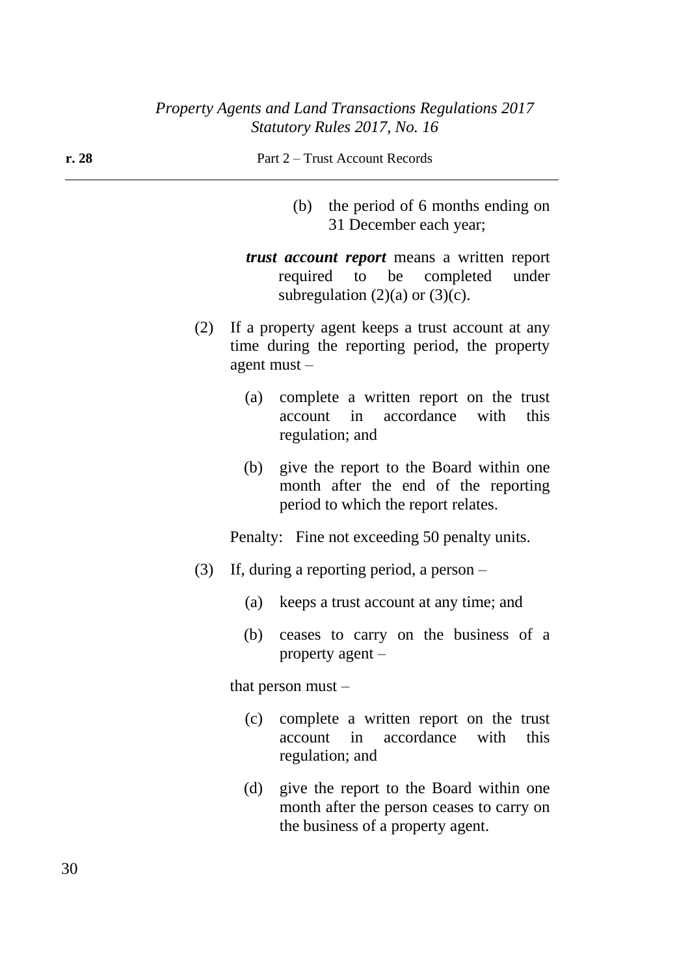| r. 28 | Part 2 – Trust Account Records                                                                                                  |  |  |
|-------|---------------------------------------------------------------------------------------------------------------------------------|--|--|
|       | (b) the period of 6 months ending on<br>31 December each year;                                                                  |  |  |
|       | <i>trust account report</i> means a written report<br>required to be completed<br>under<br>subregulation $(2)(a)$ or $(3)(c)$ . |  |  |
| (2)   | If a property agent keeps a trust account at any<br>time during the reporting period, the property<br>agent must $-$            |  |  |
|       | complete a written report on the trust<br>(a)<br>accordance<br>with<br>account<br>in<br>this<br>regulation; and                 |  |  |
|       | give the report to the Board within one<br>(b)<br>month after the end of the reporting<br>period to which the report relates.   |  |  |
|       | Penalty: Fine not exceeding 50 penalty units.                                                                                   |  |  |
| (3)   | If, during a reporting period, a person $-$                                                                                     |  |  |
|       | keeps a trust account at any time; and<br>(a)                                                                                   |  |  |
|       |                                                                                                                                 |  |  |

(b) ceases to carry on the business of a property agent –

that person must –

- (c) complete a written report on the trust account in accordance with this regulation; and
- (d) give the report to the Board within one month after the person ceases to carry on the business of a property agent.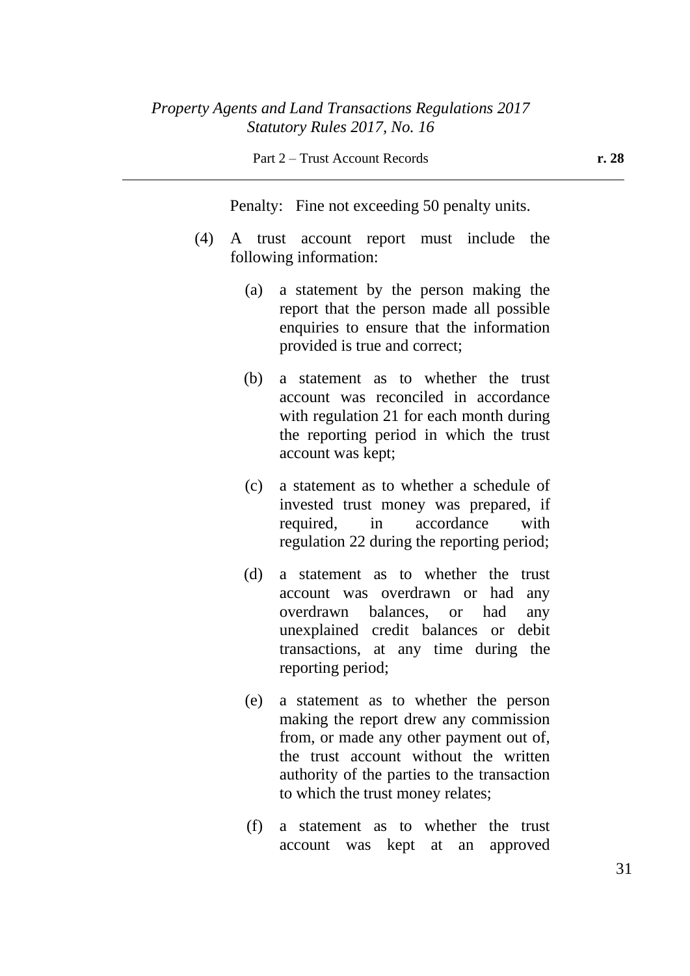Penalty: Fine not exceeding 50 penalty units.

- (4) A trust account report must include the following information:
	- (a) a statement by the person making the report that the person made all possible enquiries to ensure that the information provided is true and correct;
	- (b) a statement as to whether the trust account was reconciled in accordance with regulation 21 for each month during the reporting period in which the trust account was kept;
	- (c) a statement as to whether a schedule of invested trust money was prepared, if required, in accordance with regulation 22 during the reporting period;
	- (d) a statement as to whether the trust account was overdrawn or had any overdrawn balances, or had any unexplained credit balances or debit transactions, at any time during the reporting period;
	- (e) a statement as to whether the person making the report drew any commission from, or made any other payment out of, the trust account without the written authority of the parties to the transaction to which the trust money relates;
	- (f) a statement as to whether the trust account was kept at an approved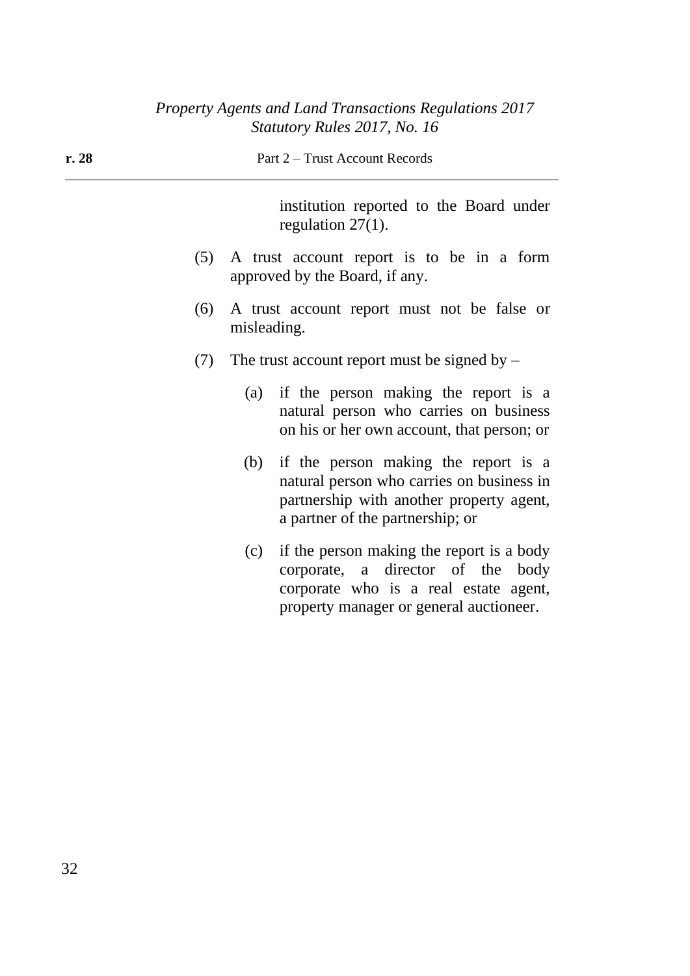| r.28 | Part 2 – Trust Account Records                                                                                                                                               |  |  |
|------|------------------------------------------------------------------------------------------------------------------------------------------------------------------------------|--|--|
|      | institution reported to the Board under<br>regulation $27(1)$ .                                                                                                              |  |  |
| (5)  | A trust account report is to be in a form<br>approved by the Board, if any.                                                                                                  |  |  |
| (6)  | A trust account report must not be false or<br>misleading.                                                                                                                   |  |  |
| (7)  | The trust account report must be signed by $-$                                                                                                                               |  |  |
|      | if the person making the report is a<br>(a)<br>natural person who carries on business<br>on his or her own account, that person; or                                          |  |  |
|      | if the person making the report is a<br>(b)<br>natural person who carries on business in<br>partnership with another property agent,<br>a partner of the partnership; or     |  |  |
|      | if the person making the report is a body<br>(c)<br>corporate, a director of the<br>body<br>corporate who is a real estate agent,<br>property manager or general auctioneer. |  |  |
|      |                                                                                                                                                                              |  |  |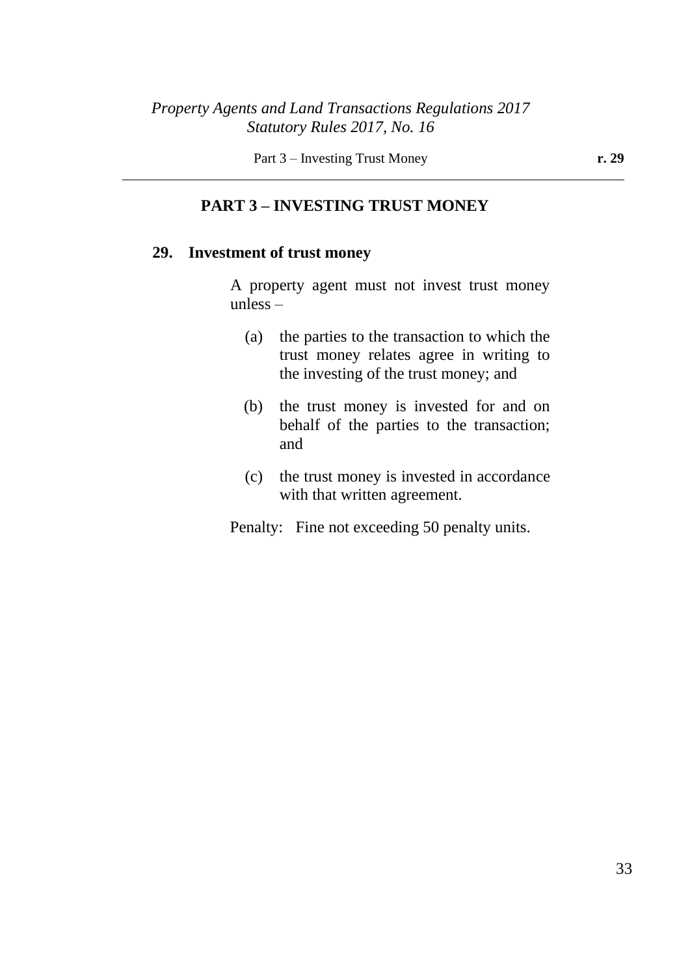Part 3 – Investing Trust Money **r. 29** 

### **PART 3 – INVESTING TRUST MONEY**

## **29. Investment of trust money**

A property agent must not invest trust money unless –

- (a) the parties to the transaction to which the trust money relates agree in writing to the investing of the trust money; and
- (b) the trust money is invested for and on behalf of the parties to the transaction; and
- (c) the trust money is invested in accordance with that written agreement.

Penalty: Fine not exceeding 50 penalty units.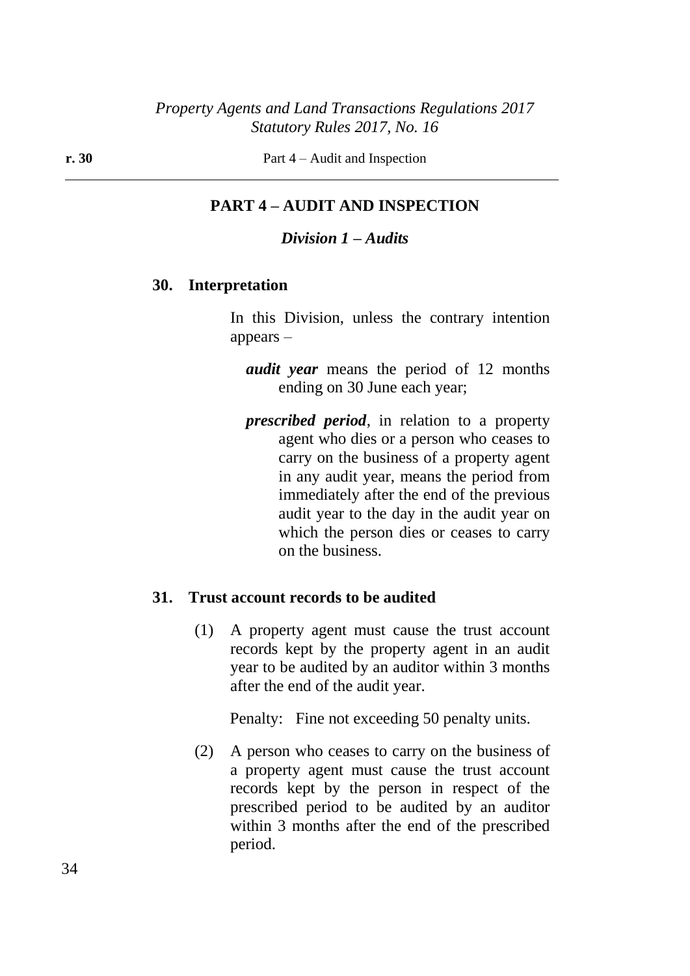# **PART 4 – AUDIT AND INSPECTION**

#### *Division 1 – Audits*

### **30. Interpretation**

In this Division, unless the contrary intention appears –

*audit year* means the period of 12 months ending on 30 June each year;

*prescribed period*, in relation to a property agent who dies or a person who ceases to carry on the business of a property agent in any audit year, means the period from immediately after the end of the previous audit year to the day in the audit year on which the person dies or ceases to carry on the business.

#### **31. Trust account records to be audited**

(1) A property agent must cause the trust account records kept by the property agent in an audit year to be audited by an auditor within 3 months after the end of the audit year.

Penalty: Fine not exceeding 50 penalty units.

(2) A person who ceases to carry on the business of a property agent must cause the trust account records kept by the person in respect of the prescribed period to be audited by an auditor within 3 months after the end of the prescribed period.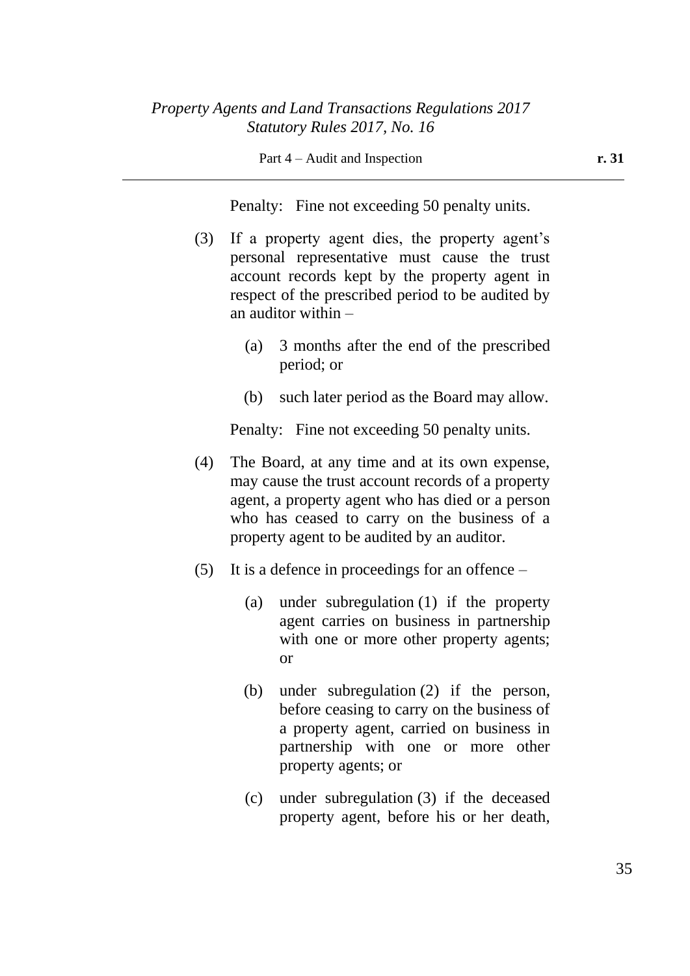Part 4 – Audit and Inspection **r. 31** 

Penalty: Fine not exceeding 50 penalty units.

- (3) If a property agent dies, the property agent's personal representative must cause the trust account records kept by the property agent in respect of the prescribed period to be audited by an auditor within –
	- (a) 3 months after the end of the prescribed period; or
	- (b) such later period as the Board may allow.

Penalty: Fine not exceeding 50 penalty units.

- (4) The Board, at any time and at its own expense, may cause the trust account records of a property agent, a property agent who has died or a person who has ceased to carry on the business of a property agent to be audited by an auditor.
- (5) It is a defence in proceedings for an offence
	- (a) under subregulation (1) if the property agent carries on business in partnership with one or more other property agents; or
	- (b) under subregulation (2) if the person, before ceasing to carry on the business of a property agent, carried on business in partnership with one or more other property agents; or
	- (c) under subregulation (3) if the deceased property agent, before his or her death,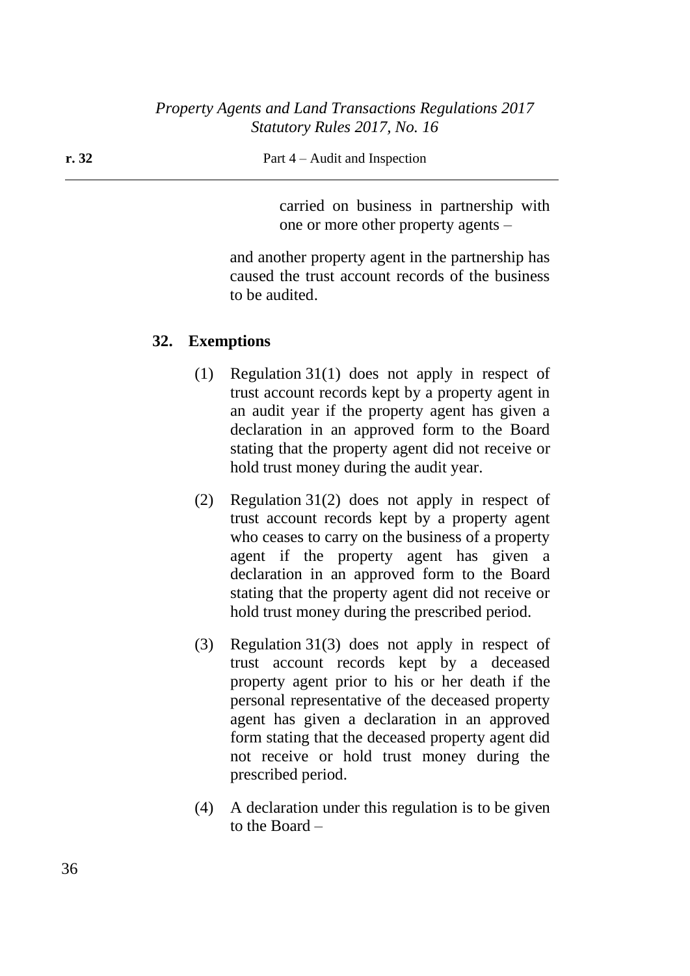#### **r. 32** Part 4 – Audit and Inspection

carried on business in partnership with one or more other property agents –

and another property agent in the partnership has caused the trust account records of the business to be audited.

### **32. Exemptions**

- (1) Regulation 31(1) does not apply in respect of trust account records kept by a property agent in an audit year if the property agent has given a declaration in an approved form to the Board stating that the property agent did not receive or hold trust money during the audit year.
- (2) Regulation 31(2) does not apply in respect of trust account records kept by a property agent who ceases to carry on the business of a property agent if the property agent has given a declaration in an approved form to the Board stating that the property agent did not receive or hold trust money during the prescribed period.
- (3) Regulation 31(3) does not apply in respect of trust account records kept by a deceased property agent prior to his or her death if the personal representative of the deceased property agent has given a declaration in an approved form stating that the deceased property agent did not receive or hold trust money during the prescribed period.
- (4) A declaration under this regulation is to be given to the Board –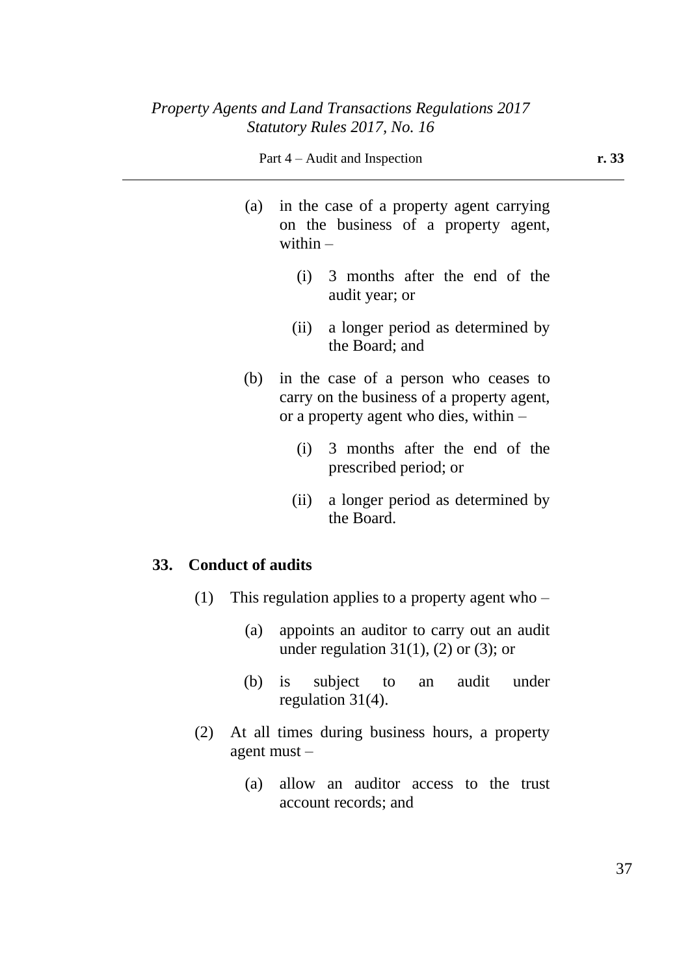#### Part 4 – Audit and Inspection **r. 33**

- (a) in the case of a property agent carrying on the business of a property agent, within  $-$ 
	- (i) 3 months after the end of the audit year; or
	- (ii) a longer period as determined by the Board; and
- (b) in the case of a person who ceases to carry on the business of a property agent, or a property agent who dies, within –
	- (i) 3 months after the end of the prescribed period; or
	- (ii) a longer period as determined by the Board.

### **33. Conduct of audits**

- (1) This regulation applies to a property agent who
	- (a) appoints an auditor to carry out an audit under regulation  $31(1)$ , (2) or (3); or
	- (b) is subject to an audit under regulation 31(4).
- (2) At all times during business hours, a property agent must –
	- (a) allow an auditor access to the trust account records; and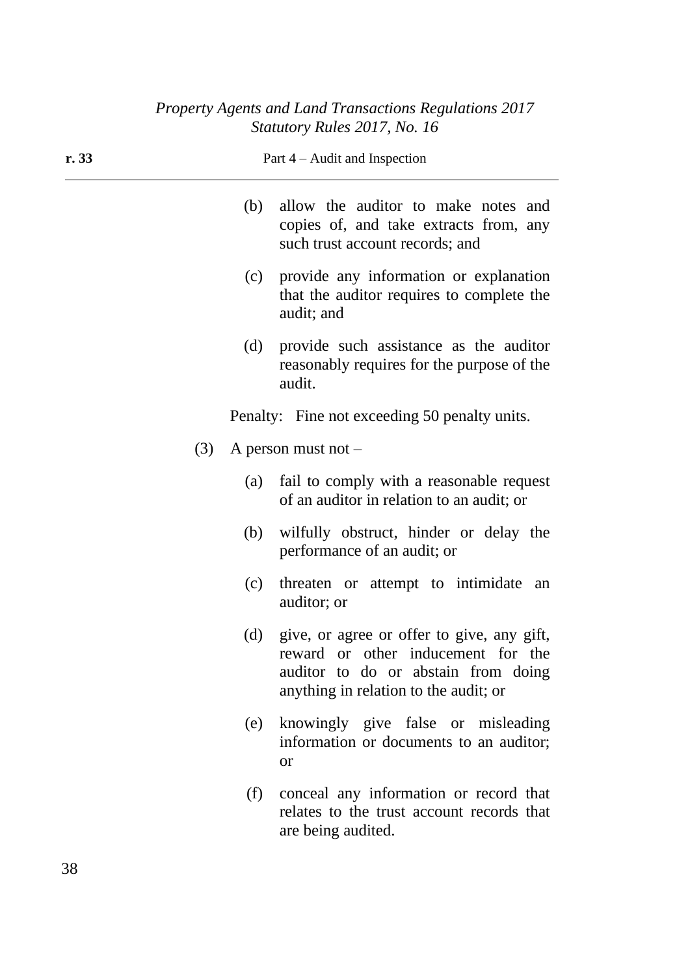| r.33 | Part $4 -$ Audit and Inspection |                                                                                                                                                                      |  |
|------|---------------------------------|----------------------------------------------------------------------------------------------------------------------------------------------------------------------|--|
|      | (b)                             | allow the auditor to make notes and<br>copies of, and take extracts from, any<br>such trust account records; and                                                     |  |
|      | (c)                             | provide any information or explanation<br>that the auditor requires to complete the<br>audit; and                                                                    |  |
|      | (d)                             | provide such assistance as the auditor<br>reasonably requires for the purpose of the<br>audit.                                                                       |  |
|      |                                 | Penalty: Fine not exceeding 50 penalty units.                                                                                                                        |  |
|      | (3)                             | A person must not $-$                                                                                                                                                |  |
|      | (a)                             | fail to comply with a reasonable request<br>of an auditor in relation to an audit; or                                                                                |  |
|      | (b)                             | wilfully obstruct, hinder or delay the<br>performance of an audit; or                                                                                                |  |
|      | (c)                             | threaten or attempt to intimidate<br>an<br>auditor; or                                                                                                               |  |
|      |                                 | (d) give, or agree or offer to give, any gift,<br>reward or other inducement for the<br>auditor to do or abstain from doing<br>anything in relation to the audit; or |  |
|      | (e)                             | knowingly give false or misleading<br>information or documents to an auditor;<br><b>or</b>                                                                           |  |
|      | (f)                             | conceal any information or record that<br>relates to the trust account records that<br>are being audited.                                                            |  |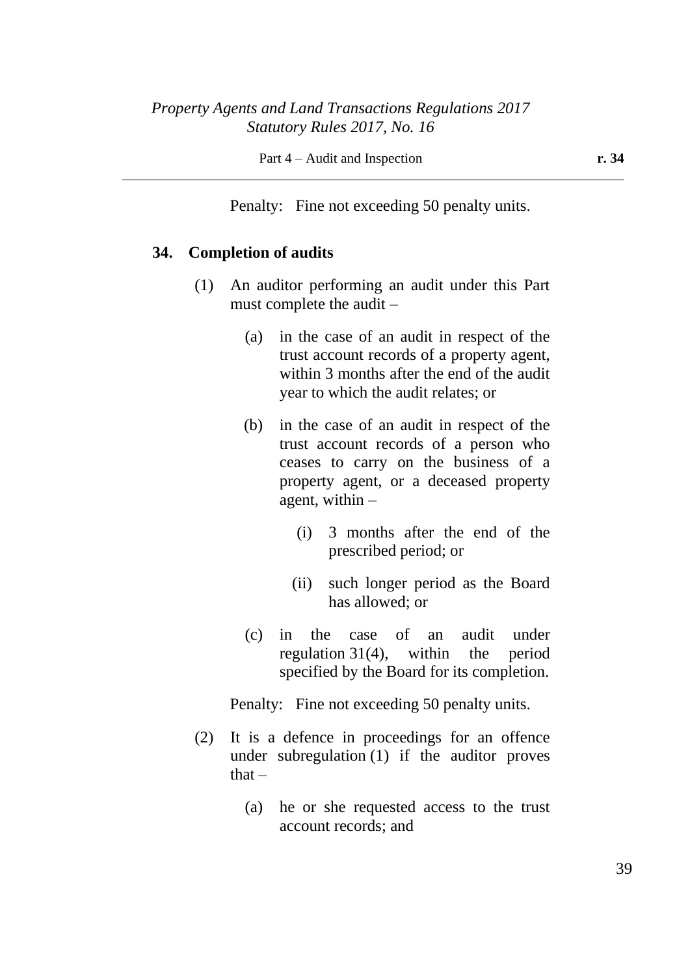Penalty: Fine not exceeding 50 penalty units.

### **34. Completion of audits**

- (1) An auditor performing an audit under this Part must complete the audit –
	- (a) in the case of an audit in respect of the trust account records of a property agent, within 3 months after the end of the audit year to which the audit relates; or
	- (b) in the case of an audit in respect of the trust account records of a person who ceases to carry on the business of a property agent, or a deceased property agent, within –
		- (i) 3 months after the end of the prescribed period; or
		- (ii) such longer period as the Board has allowed; or
	- (c) in the case of an audit under regulation 31(4), within the period specified by the Board for its completion.

Penalty: Fine not exceeding 50 penalty units.

- (2) It is a defence in proceedings for an offence under subregulation (1) if the auditor proves  $that -$ 
	- (a) he or she requested access to the trust account records; and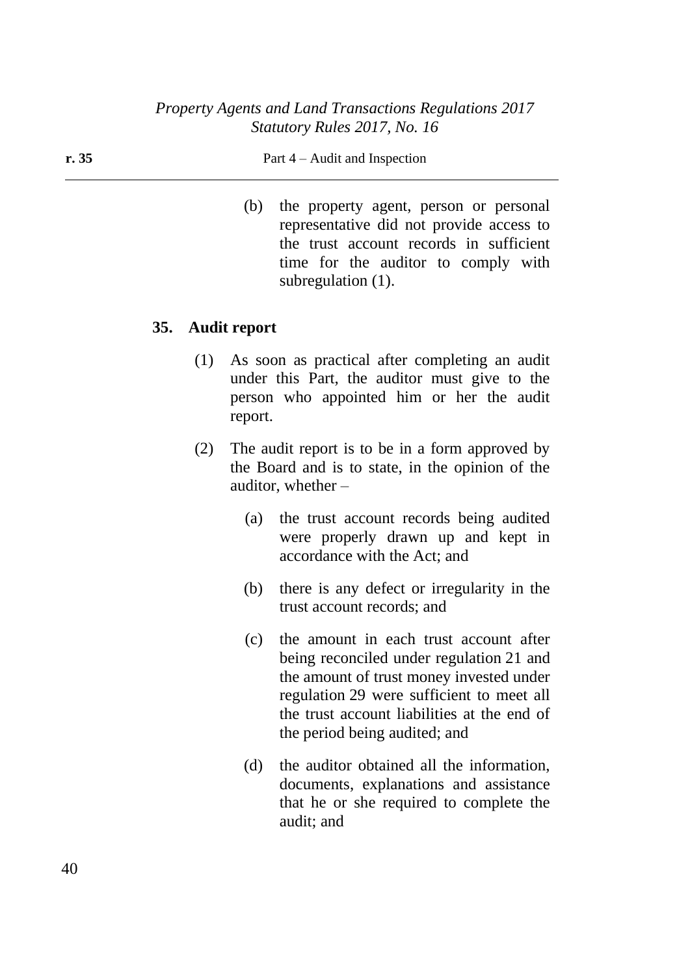#### **r. 35** Part 4 – Audit and Inspection

(b) the property agent, person or personal representative did not provide access to the trust account records in sufficient time for the auditor to comply with subregulation (1).

### **35. Audit report**

- (1) As soon as practical after completing an audit under this Part, the auditor must give to the person who appointed him or her the audit report.
- (2) The audit report is to be in a form approved by the Board and is to state, in the opinion of the auditor, whether –
	- (a) the trust account records being audited were properly drawn up and kept in accordance with the Act; and
	- (b) there is any defect or irregularity in the trust account records; and
	- (c) the amount in each trust account after being reconciled under regulation 21 and the amount of trust money invested under regulation 29 were sufficient to meet all the trust account liabilities at the end of the period being audited; and
	- (d) the auditor obtained all the information, documents, explanations and assistance that he or she required to complete the audit; and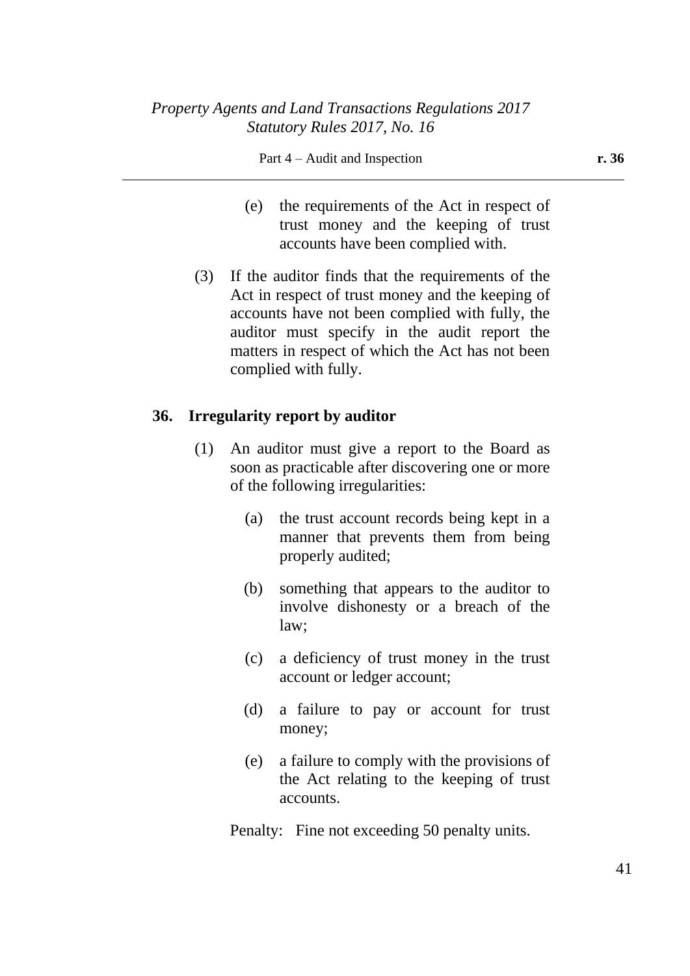#### Part 4 – Audit and Inspection **r. 36**

- (e) the requirements of the Act in respect of trust money and the keeping of trust accounts have been complied with.
- (3) If the auditor finds that the requirements of the Act in respect of trust money and the keeping of accounts have not been complied with fully, the auditor must specify in the audit report the matters in respect of which the Act has not been complied with fully.

### **36. Irregularity report by auditor**

- (1) An auditor must give a report to the Board as soon as practicable after discovering one or more of the following irregularities:
	- (a) the trust account records being kept in a manner that prevents them from being properly audited;
	- (b) something that appears to the auditor to involve dishonesty or a breach of the law;
	- (c) a deficiency of trust money in the trust account or ledger account;
	- (d) a failure to pay or account for trust money;
	- (e) a failure to comply with the provisions of the Act relating to the keeping of trust accounts.

Penalty: Fine not exceeding 50 penalty units.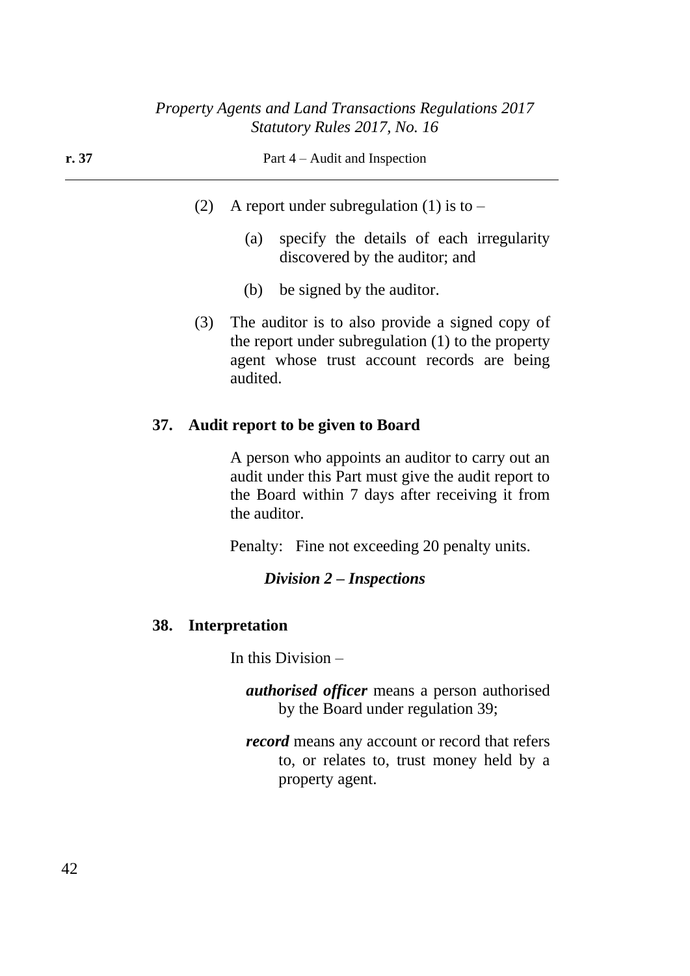| r. 37 | Part $4 -$ Audit and Inspection |                                                                                                                                                                    |  |
|-------|---------------------------------|--------------------------------------------------------------------------------------------------------------------------------------------------------------------|--|
|       | (2)                             | A report under subregulation (1) is to $-$<br>(a) specify the details of each irregularity<br>discovered by the auditor; and                                       |  |
|       |                                 | be signed by the auditor.<br>(b)                                                                                                                                   |  |
|       | (3)                             | The auditor is to also provide a signed copy of<br>the report under subregulation $(1)$ to the property<br>agent whose trust account records are being<br>audited. |  |
|       |                                 | 37. Audit report to be given to Board                                                                                                                              |  |

A person who appoints an auditor to carry out an audit under this Part must give the audit report to the Board within 7 days after receiving it from the auditor.

Penalty: Fine not exceeding 20 penalty units.

## *Division 2 – Inspections*

# **38. Interpretation**

In this Division –

*authorised officer* means a person authorised by the Board under regulation 39;

*record* means any account or record that refers to, or relates to, trust money held by a property agent.

42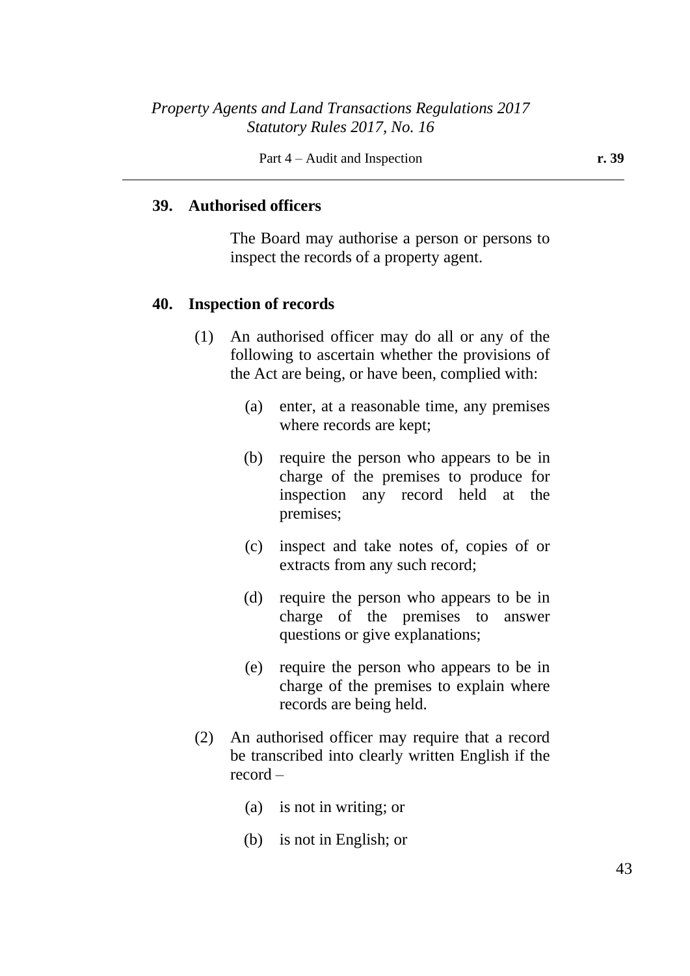### **39. Authorised officers**

The Board may authorise a person or persons to inspect the records of a property agent.

#### **40. Inspection of records**

- (1) An authorised officer may do all or any of the following to ascertain whether the provisions of the Act are being, or have been, complied with:
	- (a) enter, at a reasonable time, any premises where records are kept;
	- (b) require the person who appears to be in charge of the premises to produce for inspection any record held at the premises;
	- (c) inspect and take notes of, copies of or extracts from any such record;
	- (d) require the person who appears to be in charge of the premises to answer questions or give explanations;
	- (e) require the person who appears to be in charge of the premises to explain where records are being held.
- (2) An authorised officer may require that a record be transcribed into clearly written English if the record –
	- (a) is not in writing; or
	- (b) is not in English; or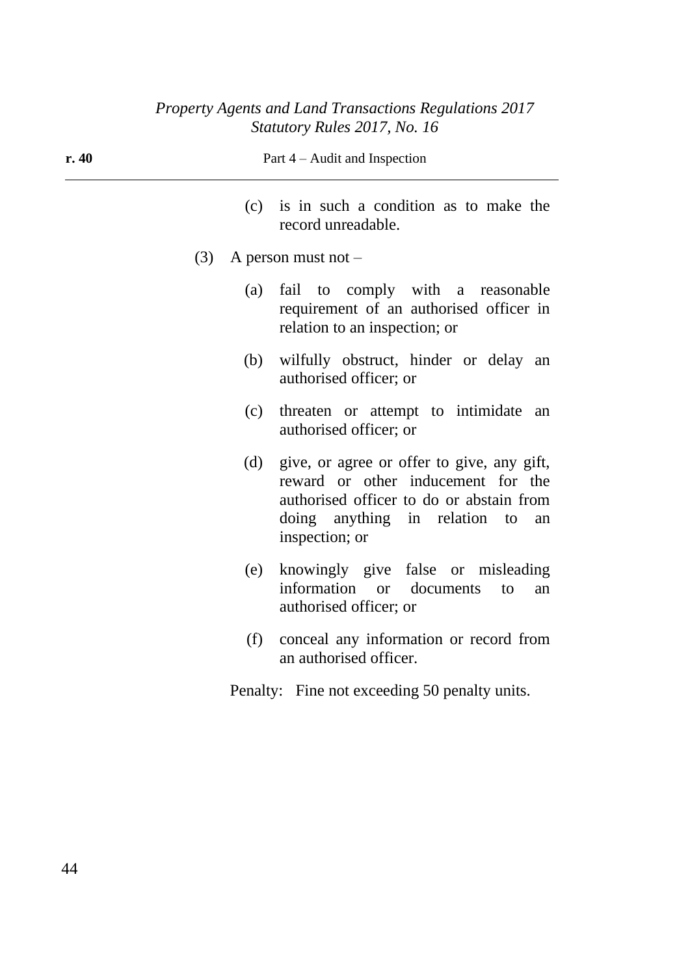| r.40 | Part 4 – Audit and Inspection                                                                                                                                                                |                                                                                                              |  |  |  |
|------|----------------------------------------------------------------------------------------------------------------------------------------------------------------------------------------------|--------------------------------------------------------------------------------------------------------------|--|--|--|
|      | is in such a condition as to make the<br>(c)<br>record unreadable.                                                                                                                           |                                                                                                              |  |  |  |
| (3)  |                                                                                                                                                                                              | A person must not $-$                                                                                        |  |  |  |
|      | (a)                                                                                                                                                                                          | fail to comply with a reasonable<br>requirement of an authorised officer in<br>relation to an inspection; or |  |  |  |
|      | wilfully obstruct, hinder or delay an<br>(b)<br>authorised officer; or                                                                                                                       |                                                                                                              |  |  |  |
|      | threaten or attempt to intimidate<br>(c)<br>an<br>authorised officer; or                                                                                                                     |                                                                                                              |  |  |  |
|      | give, or agree or offer to give, any gift,<br>(d)<br>reward or other inducement for the<br>authorised officer to do or abstain from<br>doing anything in relation to<br>an<br>inspection; or |                                                                                                              |  |  |  |
|      | (e)                                                                                                                                                                                          | knowingly give false or misleading<br>information or<br>documents<br>to<br>an<br>authorised officer; or      |  |  |  |
|      | (f)                                                                                                                                                                                          | conceal any information or record from<br>an authorised officer.                                             |  |  |  |
|      | Penalty: Fine not exceeding 50 penalty units.                                                                                                                                                |                                                                                                              |  |  |  |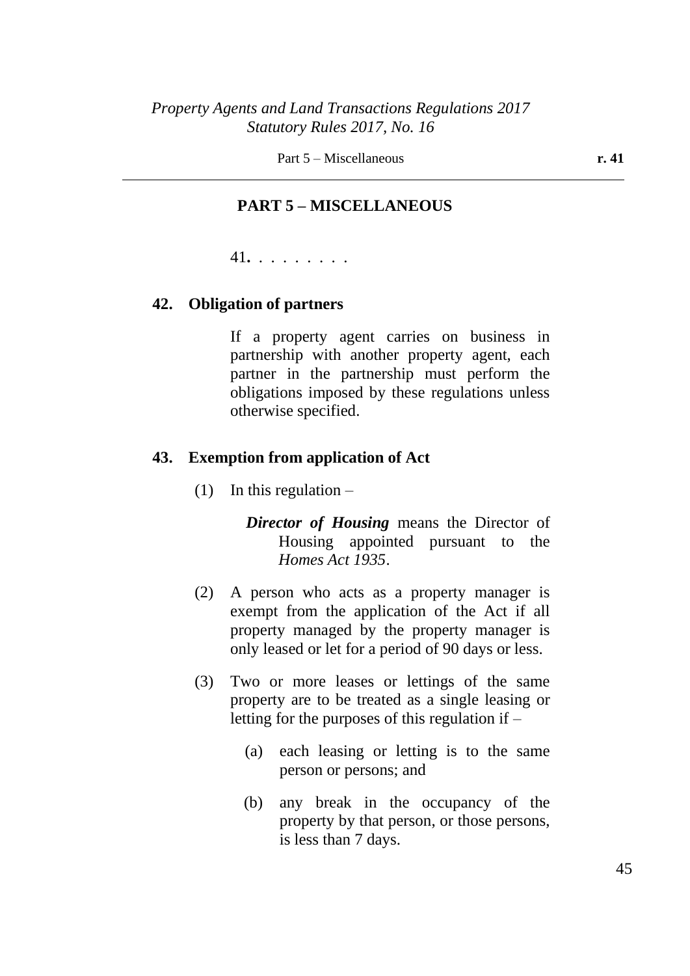Part 5 – Miscellaneous **r. 41** 

### **PART 5 – MISCELLANEOUS**

41**.** . . . . . . . .

#### **42. Obligation of partners**

If a property agent carries on business in partnership with another property agent, each partner in the partnership must perform the obligations imposed by these regulations unless otherwise specified.

#### **43. Exemption from application of Act**

(1) In this regulation  $-$ 

*Director of Housing* means the Director of Housing appointed pursuant to the *Homes Act 1935*.

- (2) A person who acts as a property manager is exempt from the application of the Act if all property managed by the property manager is only leased or let for a period of 90 days or less.
- (3) Two or more leases or lettings of the same property are to be treated as a single leasing or letting for the purposes of this regulation if –
	- (a) each leasing or letting is to the same person or persons; and
	- (b) any break in the occupancy of the property by that person, or those persons, is less than 7 days.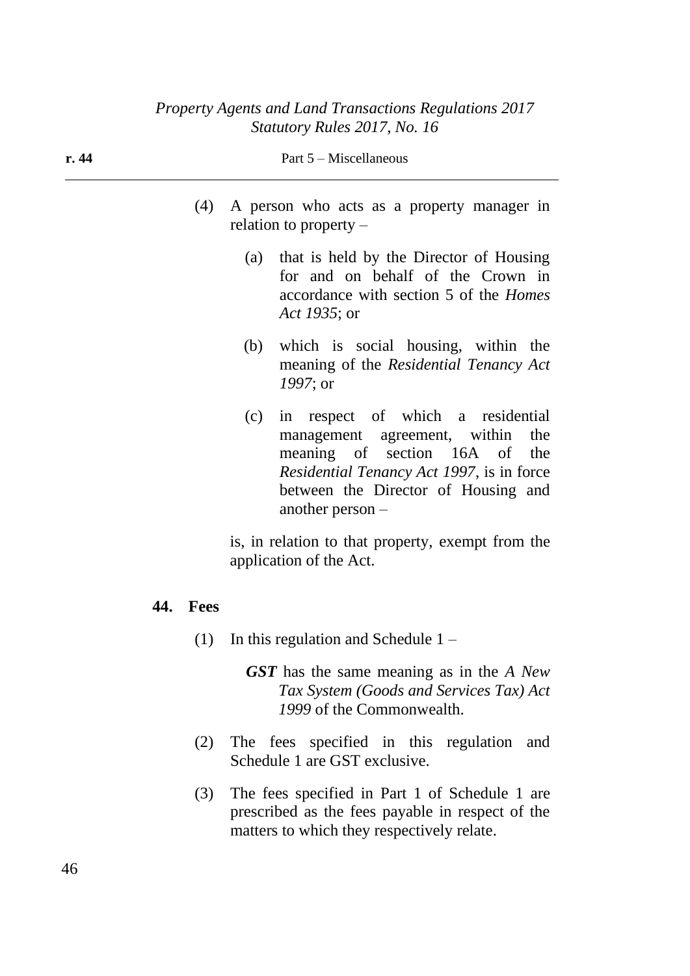| r. 44 | Part $5$ – Miscellaneous |          |                                                                                                                                                                                                                               |  |
|-------|--------------------------|----------|-------------------------------------------------------------------------------------------------------------------------------------------------------------------------------------------------------------------------------|--|
|       |                          | (4)      | A person who acts as a property manager in<br>relation to property $-$                                                                                                                                                        |  |
|       |                          |          | that is held by the Director of Housing<br>(a)<br>for and on behalf of the Crown in<br>accordance with section 5 of the <i>Homes</i><br>Act 1935; or                                                                          |  |
|       |                          |          | which is social housing, within the<br>(b)<br>meaning of the Residential Tenancy Act<br>$1997$ ; or                                                                                                                           |  |
|       |                          |          | in respect of which a residential<br>(c)<br>management agreement, within<br>the<br>meaning of section 16A of<br>the<br>Residential Tenancy Act 1997, is in force<br>between the Director of Housing and<br>another person $-$ |  |
|       |                          |          | is, in relation to that property, exempt from the<br>application of the Act.                                                                                                                                                  |  |
|       |                          | 44. Fees |                                                                                                                                                                                                                               |  |
|       |                          | (1)      | In this regulation and Schedule $1 -$                                                                                                                                                                                         |  |
|       |                          |          | <b>GST</b> has the same meaning as in the A New<br>Tax System (Goods and Services Tax) Act<br>1999 of the Commonwealth.                                                                                                       |  |
|       |                          | (2)      | The fees specified in this regulation<br>and<br>Schedule 1 are GST exclusive.                                                                                                                                                 |  |

(3) The fees specified in Part 1 of Schedule 1 are prescribed as the fees payable in respect of the matters to which they respectively relate.

46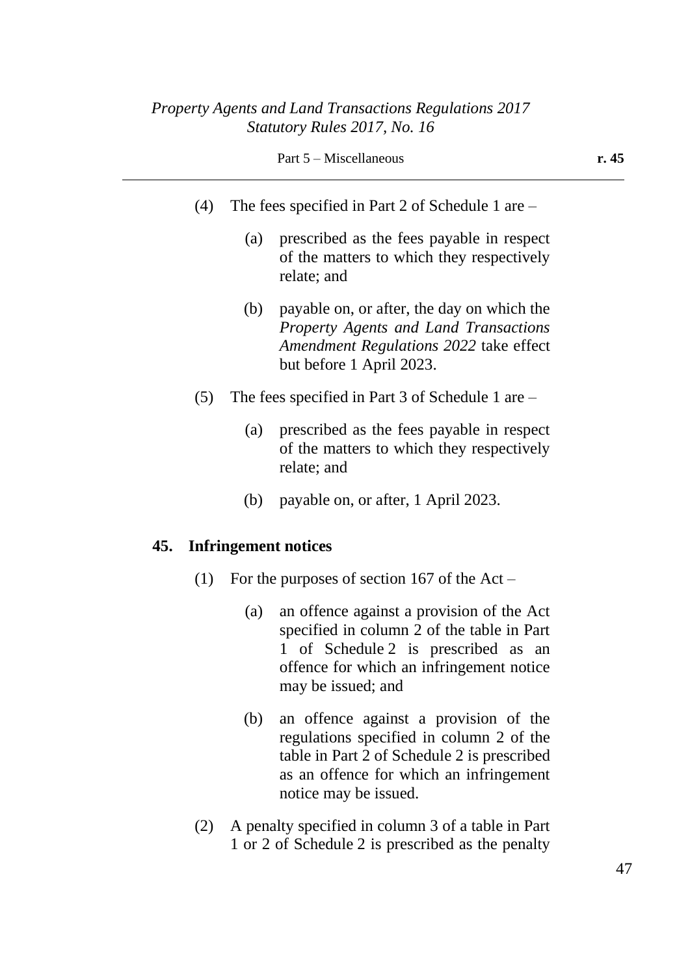- (4) The fees specified in Part 2 of Schedule 1 are
	- (a) prescribed as the fees payable in respect of the matters to which they respectively relate; and
	- (b) payable on, or after, the day on which the *Property Agents and Land Transactions Amendment Regulations 2022* take effect but before 1 April 2023.
- (5) The fees specified in Part 3 of Schedule 1 are
	- (a) prescribed as the fees payable in respect of the matters to which they respectively relate; and
	- (b) payable on, or after, 1 April 2023.

#### **45. Infringement notices**

- (1) For the purposes of section 167 of the Act
	- (a) an offence against a provision of the Act specified in column 2 of the table in Part 1 of Schedule 2 is prescribed as an offence for which an infringement notice may be issued; and
	- (b) an offence against a provision of the regulations specified in column 2 of the table in Part 2 of Schedule 2 is prescribed as an offence for which an infringement notice may be issued.
- (2) A penalty specified in column 3 of a table in Part 1 or 2 of Schedule 2 is prescribed as the penalty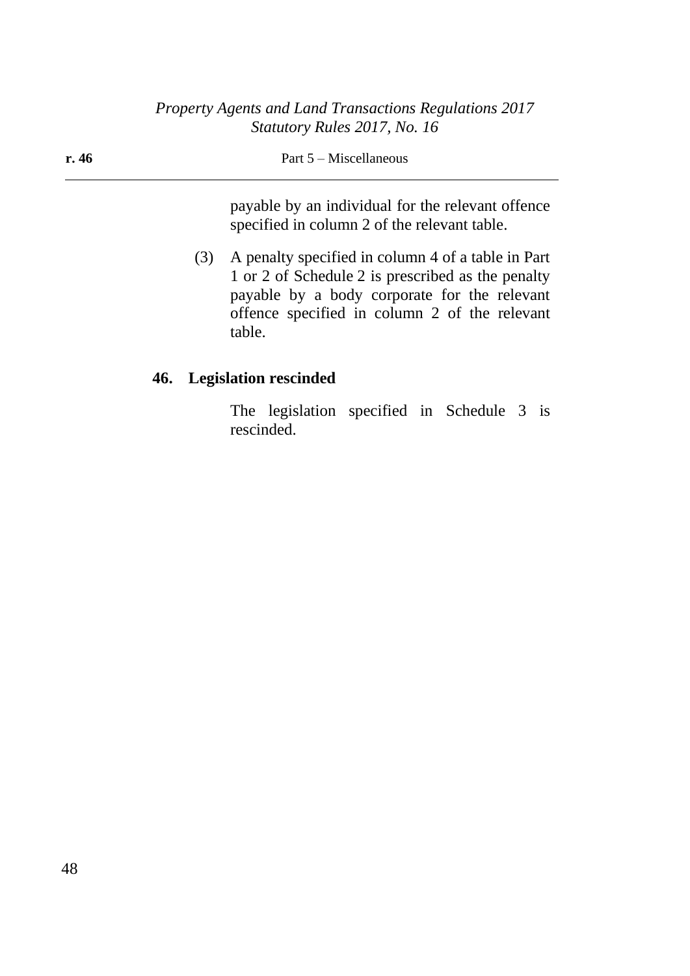| r.46 |     | Part $5$ – Miscellaneous                                                                                                                                                                                 |
|------|-----|----------------------------------------------------------------------------------------------------------------------------------------------------------------------------------------------------------|
|      |     | payable by an individual for the relevant offence<br>specified in column 2 of the relevant table.                                                                                                        |
|      | (3) | A penalty specified in column 4 of a table in Part<br>1 or 2 of Schedule 2 is prescribed as the penalty<br>payable by a body corporate for the relevant<br>offence specified in column 2 of the relevant |

# **46. Legislation rescinded**

table.

The legislation specified in Schedule 3 is rescinded.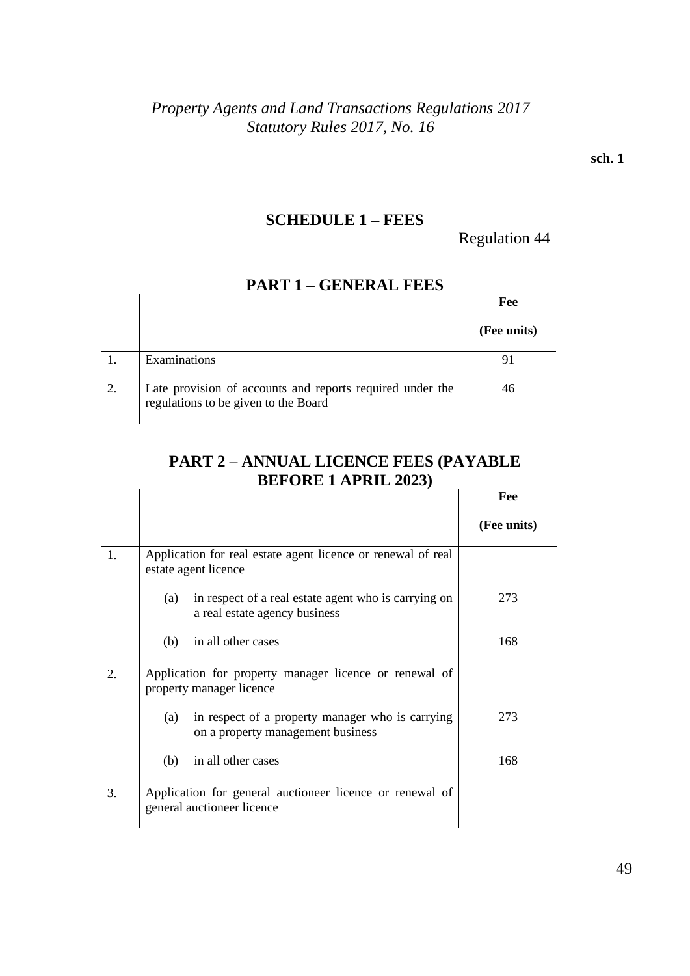### **SCHEDULE 1 – FEES**

Regulation 44

|    | .                                                                                                 |             |
|----|---------------------------------------------------------------------------------------------------|-------------|
|    |                                                                                                   | Fee         |
|    |                                                                                                   | (Fee units) |
|    | Examinations                                                                                      |             |
| 2. | Late provision of accounts and reports required under the<br>regulations to be given to the Board | 46          |

## **PART 1 – GENERAL FEES**

#### **PART 2 – ANNUAL LICENCE FEES (PAYABLE BEFORE 1 APRIL 2023)**  $\mathbf{r}$ **Fee**

|    | $P_{\rm L1}$ ond 1 m no $1000$                                                               |             |
|----|----------------------------------------------------------------------------------------------|-------------|
|    |                                                                                              | Fee         |
|    |                                                                                              | (Fee units) |
| 1. | Application for real estate agent licence or renewal of real<br>estate agent licence         |             |
|    | in respect of a real estate agent who is carrying on<br>(a)<br>a real estate agency business | 273         |
|    | in all other cases<br>(b)                                                                    | 168         |
| 2. | Application for property manager licence or renewal of<br>property manager licence           |             |
|    | in respect of a property manager who is carrying<br>(a)<br>on a property management business | 273         |
|    | in all other cases<br>(b)                                                                    | 168         |
| 3. | Application for general auctioneer licence or renewal of<br>general auctioneer licence       |             |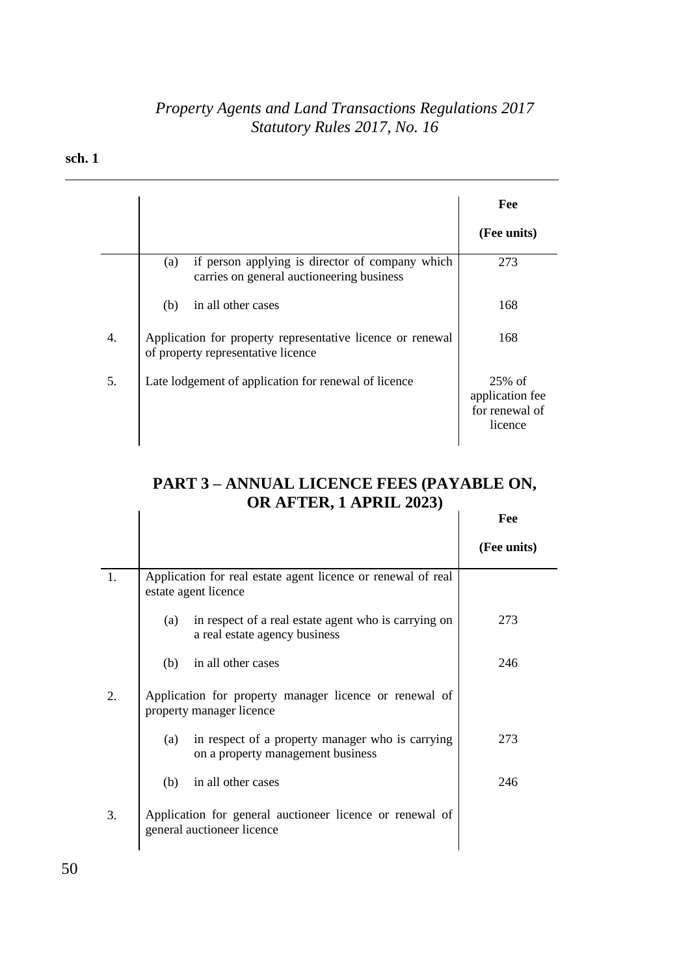#### **sch. 1**

|    |                                                                                                     | Fee                                                       |
|----|-----------------------------------------------------------------------------------------------------|-----------------------------------------------------------|
|    |                                                                                                     | (Fee units)                                               |
|    | if person applying is director of company which<br>(a)<br>carries on general auctioneering business | 273                                                       |
|    | (b)<br>in all other cases                                                                           | 168                                                       |
| 4. | Application for property representative licence or renewal<br>of property representative licence    | 168                                                       |
| 5. | Late lodgement of application for renewal of licence                                                | $25\%$ of<br>application fee<br>for renewal of<br>licence |

# **PART 3 – ANNUAL LICENCE FEES (PAYABLE ON, OR AFTER, 1 APRIL 2023)**

|    |                                                                                              | Fee         |
|----|----------------------------------------------------------------------------------------------|-------------|
|    |                                                                                              | (Fee units) |
| 1. | Application for real estate agent licence or renewal of real<br>estate agent licence         |             |
|    | in respect of a real estate agent who is carrying on<br>(a)<br>a real estate agency business | 273         |
|    | in all other cases<br>(b)                                                                    | 246         |
| 2. | Application for property manager licence or renewal of<br>property manager licence           |             |
|    | in respect of a property manager who is carrying<br>(a)<br>on a property management business | 273         |
|    | in all other cases<br>(b)                                                                    | 246         |
| 3. | Application for general auctioneer licence or renewal of<br>general auctioneer licence       |             |

50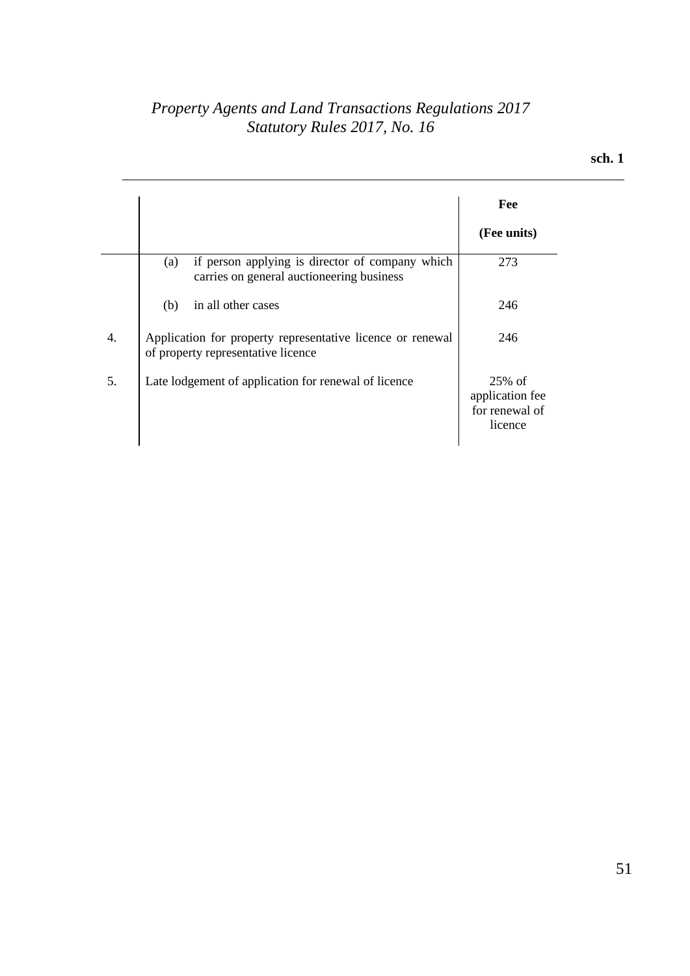|    |                                                                                                     | Fee                                                       |
|----|-----------------------------------------------------------------------------------------------------|-----------------------------------------------------------|
|    |                                                                                                     | (Fee units)                                               |
|    | if person applying is director of company which<br>(a)<br>carries on general auctioneering business | 273                                                       |
|    | in all other cases<br>(b)                                                                           | 246                                                       |
| 4. | Application for property representative licence or renewal<br>of property representative licence    | 246                                                       |
| 5. | Late lodgement of application for renewal of licence                                                | $25\%$ of<br>application fee<br>for renewal of<br>licence |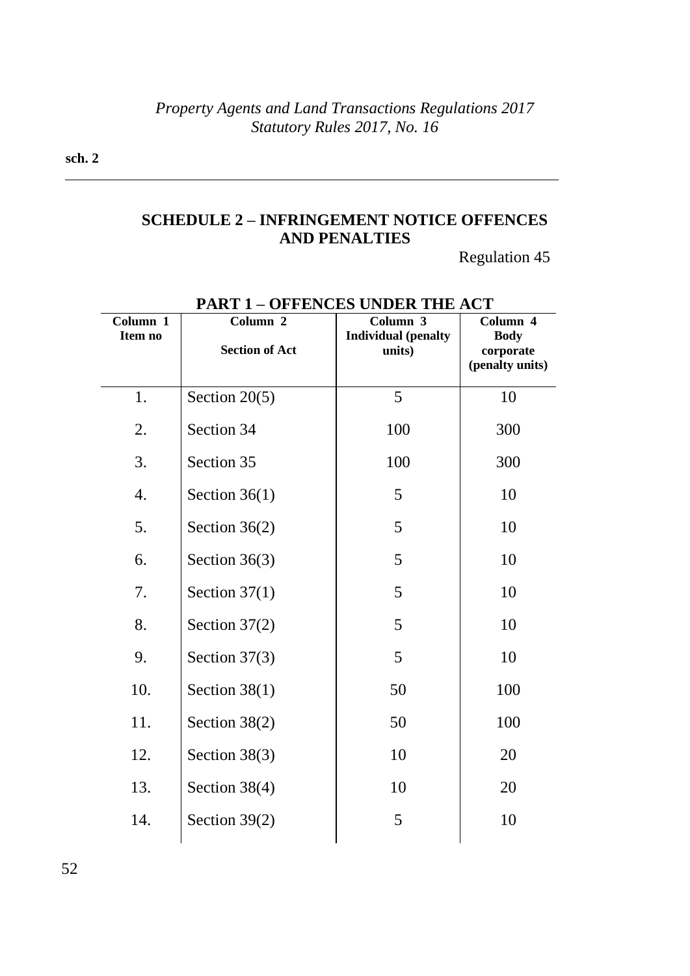**sch. 2**

# **SCHEDULE 2 – INFRINGEMENT NOTICE OFFENCES AND PENALTIES**

Regulation 45

| Column 1<br>Item no | 1 AR 1<br>Column 2<br><b>Section of Act</b> | OFFERCES CROEN THE ACT<br>Column 3<br><b>Individual</b> (penalty<br>units) | Column 4<br><b>Body</b><br>corporate |
|---------------------|---------------------------------------------|----------------------------------------------------------------------------|--------------------------------------|
|                     |                                             |                                                                            | (penalty units)                      |
| 1.                  | Section $20(5)$                             | 5                                                                          | 10                                   |
| 2.                  | Section 34                                  | 100                                                                        | 300                                  |
| 3.                  | Section 35                                  | 100                                                                        | 300                                  |
| $\overline{4}$ .    | Section $36(1)$                             | 5                                                                          | 10                                   |
| 5.                  | Section $36(2)$                             | 5                                                                          | 10                                   |
| 6.                  | Section $36(3)$                             | 5                                                                          | 10                                   |
| 7.                  | Section $37(1)$                             | 5                                                                          | 10                                   |
| 8.                  | Section $37(2)$                             | 5                                                                          | 10                                   |
| 9.                  | Section $37(3)$                             | 5                                                                          | 10                                   |
| 10.                 | Section $38(1)$                             | 50                                                                         | 100                                  |
| 11.                 | Section $38(2)$                             | 50                                                                         | 100                                  |
| 12.                 | Section 38(3)                               | 10                                                                         | 20                                   |
| 13.                 | Section 38(4)                               | 10                                                                         | 20                                   |
| 14.                 | Section $39(2)$                             | 5                                                                          | 10                                   |
|                     |                                             |                                                                            |                                      |

### **PART 1 – OFFENCES UNDER THE ACT**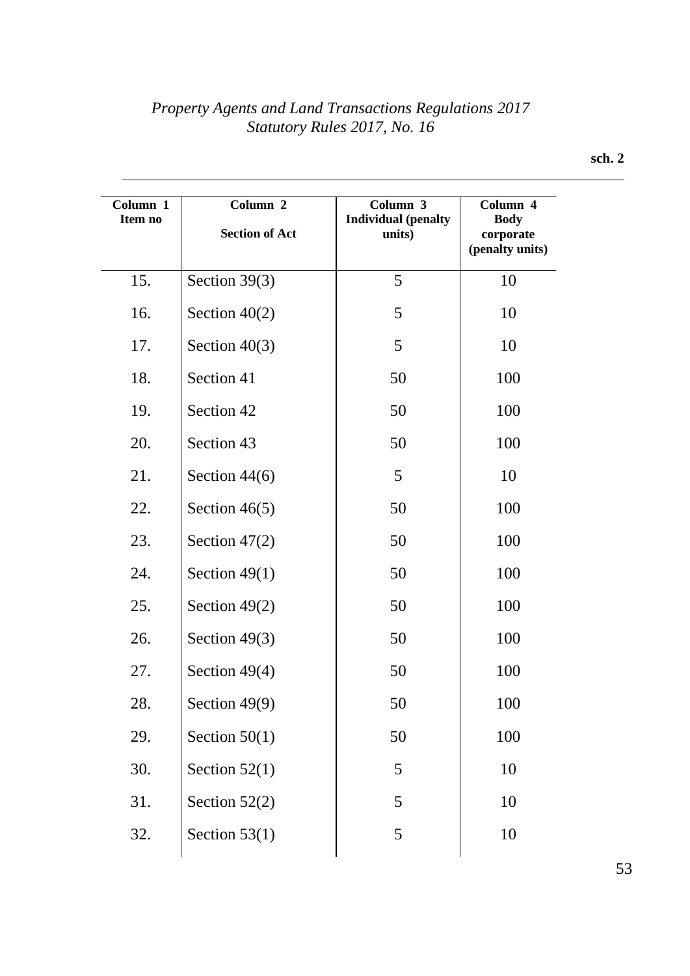| Column 1<br>Item no | Column 2              | Column 3<br><b>Individual</b> (penalty | Column 4<br><b>Body</b>      |
|---------------------|-----------------------|----------------------------------------|------------------------------|
|                     | <b>Section of Act</b> | units)                                 | corporate<br>(penalty units) |
| 15.                 | Section $39(3)$       | 5                                      | 10                           |
| 16.                 | Section $40(2)$       | 5                                      | 10                           |
| 17.                 | Section $40(3)$       | 5                                      | 10                           |
| 18.                 | Section 41            | 50                                     | 100                          |
| 19.                 | Section 42            | 50                                     | 100                          |
| 20.                 | Section 43            | 50                                     | 100                          |
| 21.                 | Section $44(6)$       | 5                                      | 10                           |
| 22.                 | Section $46(5)$       | 50                                     | 100                          |
| 23.                 | Section $47(2)$       | 50                                     | 100                          |
| 24.                 | Section $49(1)$       | 50                                     | 100                          |
| 25.                 | Section $49(2)$       | 50                                     | 100                          |
| 26.                 | Section $49(3)$       | 50                                     | 100                          |
| 27.                 | Section $49(4)$       | 50                                     | 100                          |
| 28.                 | Section $49(9)$       | 50                                     | 100                          |
| 29.                 | Section $50(1)$       | 50                                     | 100                          |
| 30.                 | Section $52(1)$       | 5                                      | 10                           |
| 31.                 | Section $52(2)$       | 5                                      | 10                           |
| 32.                 | Section $53(1)$       | 5                                      | 10                           |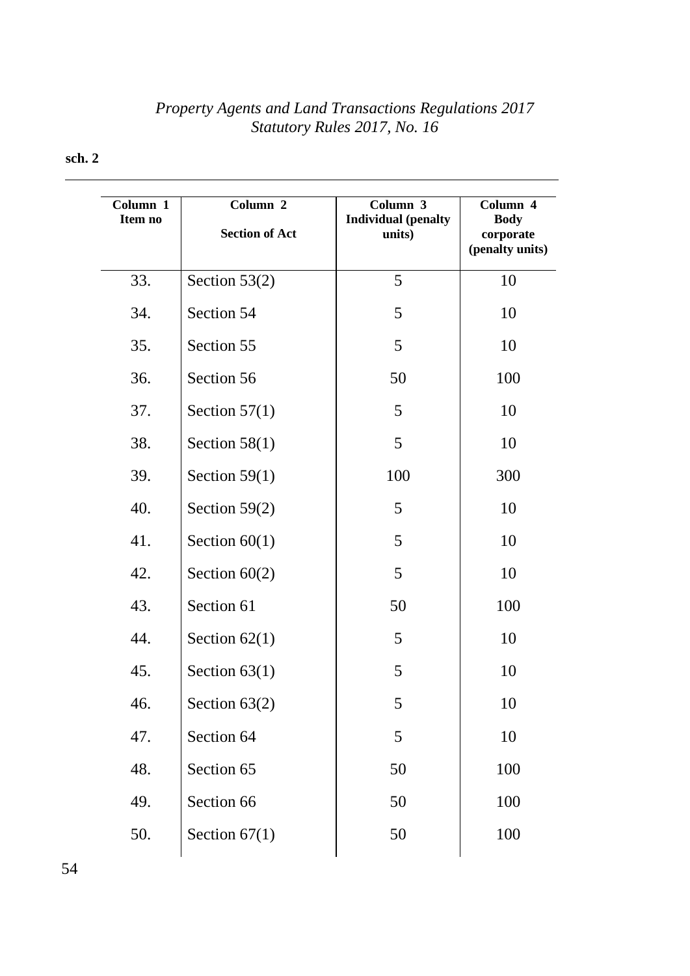| Column 1<br>Item no | Column 2<br><b>Section of Act</b> | Column 3<br><b>Individual</b> (penalty<br>units) | Column 4<br><b>Body</b><br>corporate<br>(penalty units) |
|---------------------|-----------------------------------|--------------------------------------------------|---------------------------------------------------------|
| 33.                 | Section $53(2)$                   | 5                                                | 10                                                      |
| 34.                 | Section 54                        | 5                                                | 10                                                      |
| 35.                 | Section 55                        | 5                                                | 10                                                      |
| 36.                 | Section 56                        | 50                                               | 100                                                     |
| 37.                 | Section $57(1)$                   | 5                                                | 10                                                      |
| 38.                 | Section $58(1)$                   | 5                                                | 10                                                      |
| 39.                 | Section $59(1)$                   | 100                                              | 300                                                     |
| 40.                 | Section $59(2)$                   | 5                                                | 10                                                      |
| 41.                 | Section $60(1)$                   | 5                                                | 10                                                      |
| 42.                 | Section $60(2)$                   | 5                                                | 10                                                      |
| 43.                 | Section 61                        | 50                                               | 100                                                     |
| 44.                 | Section $62(1)$                   | 5                                                | 10                                                      |
| 45.                 | Section $63(1)$                   | 5                                                | 10                                                      |
| 46.                 | Section $63(2)$                   | 5                                                | 10                                                      |
| 47.                 | Section 64                        | 5                                                | 10                                                      |
| 48.                 | Section 65                        | 50                                               | 100                                                     |
| 49.                 | Section 66                        | 50                                               | 100                                                     |
| 50.                 | Section $67(1)$                   | 50                                               | 100                                                     |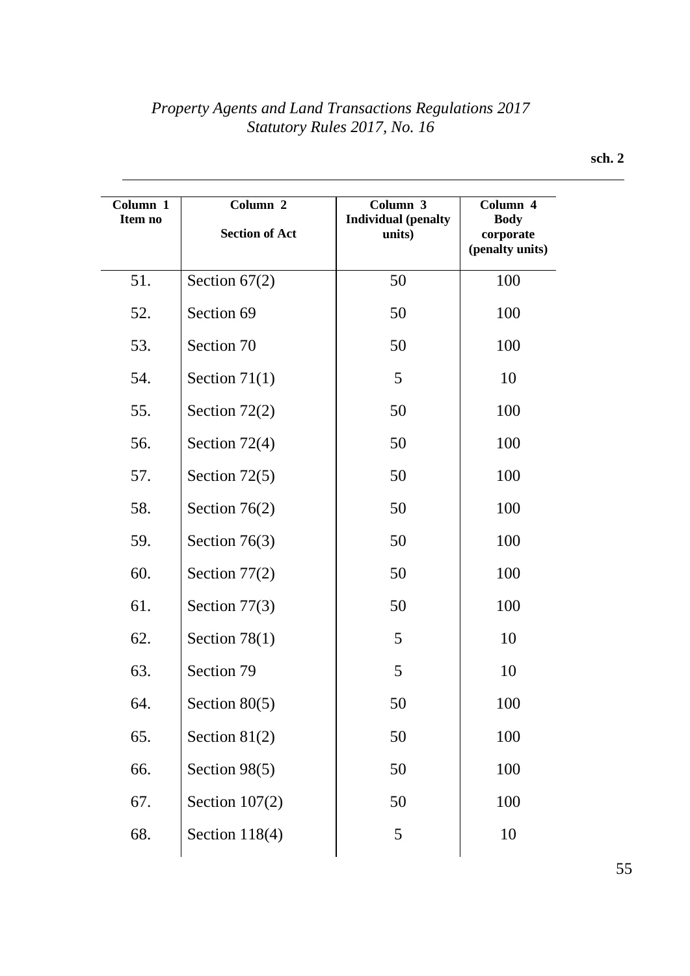| Column 1<br>Item no | Column 2<br><b>Section of Act</b> | Column 3<br><b>Individual</b> (penalty<br>units) | Column 4<br><b>Body</b><br>corporate<br>(penalty units) |
|---------------------|-----------------------------------|--------------------------------------------------|---------------------------------------------------------|
| 51.                 | Section $67(2)$                   | 50                                               | 100                                                     |
| 52.                 | Section 69                        | 50                                               | 100                                                     |
| 53.                 | Section 70                        | 50                                               | 100                                                     |
| 54.                 | Section $71(1)$                   | 5                                                | 10                                                      |
| 55.                 | Section $72(2)$                   | 50                                               | 100                                                     |
| 56.                 | Section 72(4)                     | 50                                               | 100                                                     |
| 57.                 | Section $72(5)$                   | 50                                               | 100                                                     |
| 58.                 | Section $76(2)$                   | 50                                               | 100                                                     |
| 59.                 | Section $76(3)$                   | 50                                               | 100                                                     |
| 60.                 | Section $77(2)$                   | 50                                               | 100                                                     |
| 61.                 | Section $77(3)$                   | 50                                               | 100                                                     |
| 62.                 | Section $78(1)$                   | 5                                                | 10                                                      |
| 63.                 | Section 79                        | 5                                                | 10                                                      |
| 64.                 | Section $80(5)$                   | 50                                               | 100                                                     |
| 65.                 | Section $81(2)$                   | 50                                               | 100                                                     |
| 66.                 | Section 98(5)                     | 50                                               | 100                                                     |
| 67.                 | Section $107(2)$                  | 50                                               | 100                                                     |
| 68.                 | Section $118(4)$                  | 5                                                | 10                                                      |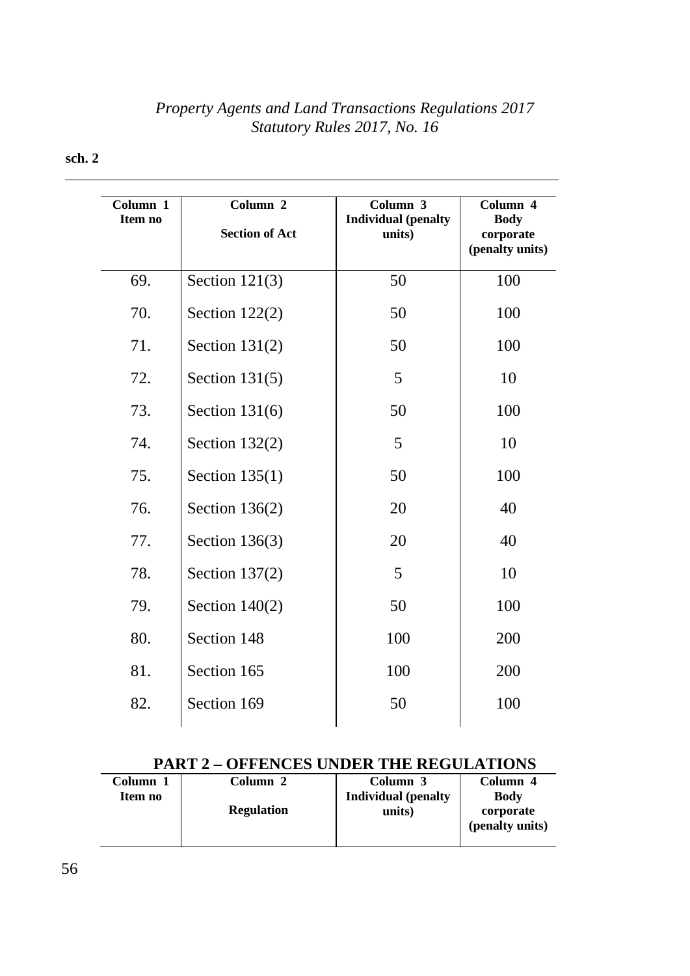# **Column 1 Item no Column 2 Section of Act Column 3 Individual (penalty units) Column 4 Body corporate (penalty units)** 69. Section 121(3) 50 100 70. Section 122(2) 50 100 71. | Section 131(2) | 50 | 100 72. Section 131(5) 5 10 73. Section 131(6) | 50 | 100 74. Section 132(2) 5 10 75. Section 135(1) 50 100 76. | Section 136(2) | 20 | 40 77. Section 136(3) 20 40 78. Section 137(2) 5 10 79. Section 140(2) 79. 100 80. Section 148 100 200 81. Section 165 100 200 82. Section 169 100

#### **sch. 2**

### **PART 2 – OFFENCES UNDER THE REGULATIONS**

| <b>Column</b> | Column 2          | Column 3                   | Column 4        |
|---------------|-------------------|----------------------------|-----------------|
| Item no       |                   | <b>Individual</b> (penalty | <b>Body</b>     |
|               | <b>Regulation</b> | units)                     | corporate       |
|               |                   |                            | (penalty units) |
|               |                   |                            |                 |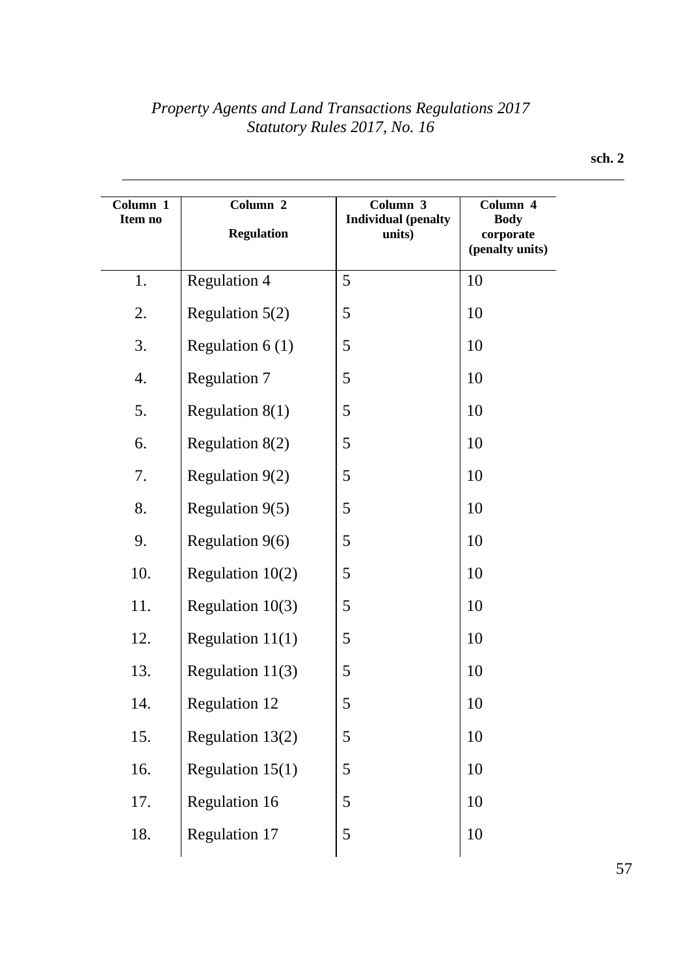| Column 1<br>Item no | Column 2<br><b>Regulation</b> | Column 3<br><b>Individual</b> (penalty<br>units) | Column 4<br><b>Body</b><br>corporate<br>(penalty units) |
|---------------------|-------------------------------|--------------------------------------------------|---------------------------------------------------------|
| 1.                  | <b>Regulation 4</b>           | 5                                                | 10                                                      |
| 2.                  | Regulation $5(2)$             | 5                                                | 10                                                      |
| 3.                  | Regulation $6(1)$             | 5                                                | 10                                                      |
| 4.                  | <b>Regulation 7</b>           | 5                                                | 10                                                      |
| 5.                  | Regulation $8(1)$             | 5                                                | 10                                                      |
| 6.                  | Regulation $8(2)$             | 5                                                | 10                                                      |
| 7.                  | Regulation $9(2)$             | 5                                                | 10                                                      |
| 8.                  | Regulation $9(5)$             | 5                                                | 10                                                      |
| 9.                  | Regulation $9(6)$             | 5                                                | 10                                                      |
| 10.                 | Regulation $10(2)$            | 5                                                | 10                                                      |
| 11.                 | Regulation $10(3)$            | 5                                                | 10                                                      |
| 12.                 | Regulation $11(1)$            | 5                                                | 10                                                      |
| 13.                 | Regulation $11(3)$            | 5                                                | 10                                                      |
| 14.                 | <b>Regulation 12</b>          | 5                                                | 10                                                      |
| 15.                 | Regulation 13(2)              | 5                                                | 10                                                      |
| 16.                 | Regulation $15(1)$            | 5                                                | 10                                                      |
| 17.                 | Regulation 16                 | 5                                                | 10                                                      |
| 18.                 | <b>Regulation 17</b>          | 5                                                | 10                                                      |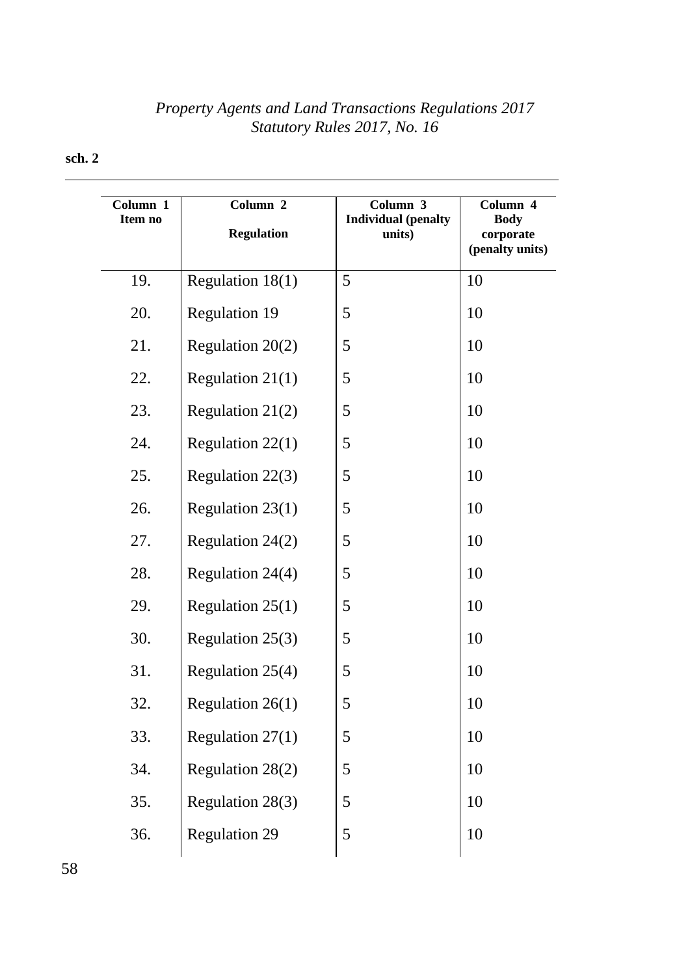| Column 1<br>Item no | Column 2<br><b>Regulation</b> | Column 3<br><b>Individual</b> (penalty<br>units) | Column 4<br><b>Body</b><br>corporate<br>(penalty units) |
|---------------------|-------------------------------|--------------------------------------------------|---------------------------------------------------------|
| 19.                 | Regulation 18(1)              | 5                                                | 10                                                      |
| 20.                 | <b>Regulation 19</b>          | 5                                                | 10                                                      |
| 21.                 | Regulation 20(2)              | 5                                                | 10                                                      |
| 22.                 | Regulation $21(1)$            | 5                                                | 10                                                      |
| 23.                 | Regulation $21(2)$            | 5                                                | 10                                                      |
| 24.                 | Regulation $22(1)$            | 5                                                | 10                                                      |
| 25.                 | Regulation 22(3)              | 5                                                | 10                                                      |
| 26.                 | Regulation 23(1)              | 5                                                | 10                                                      |
| 27.                 | Regulation 24(2)              | 5                                                | 10                                                      |
| 28.                 | Regulation 24(4)              | 5                                                | 10                                                      |
| 29.                 | Regulation $25(1)$            | 5                                                | 10                                                      |
| 30.                 | Regulation $25(3)$            | 5                                                | 10                                                      |
| 31.                 | Regulation 25(4)              | 5                                                | 10                                                      |
| 32.                 | Regulation 26(1)              | 5                                                | 10                                                      |
| 33.                 | Regulation $27(1)$            | 5                                                | 10                                                      |
| 34.                 | Regulation 28(2)              | 5                                                | 10                                                      |
| 35.                 | Regulation 28(3)              | 5                                                | 10                                                      |
| 36.                 | <b>Regulation 29</b>          | 5                                                | 10                                                      |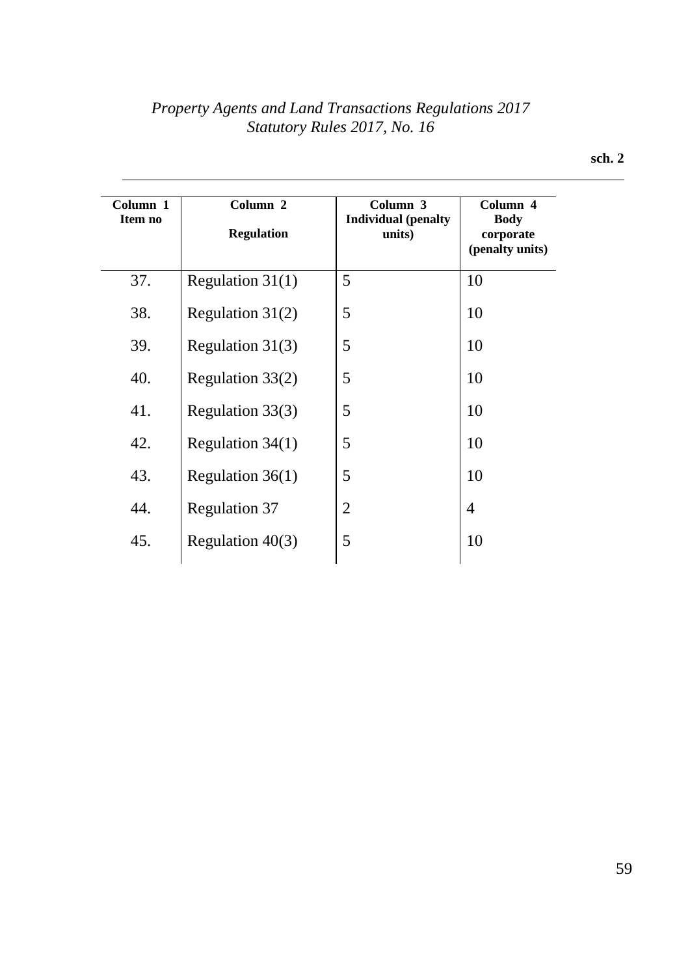| Column 1<br>Item no | Column 2<br><b>Regulation</b> | Column 3<br><b>Individual</b> (penalty<br>units) | Column 4<br><b>Body</b><br>corporate<br>(penalty units) |
|---------------------|-------------------------------|--------------------------------------------------|---------------------------------------------------------|
| 37.                 | Regulation $31(1)$            | 5                                                | 10                                                      |
| 38.                 | Regulation $31(2)$            | 5                                                | 10                                                      |
| 39.                 | Regulation 31(3)              | 5                                                | 10                                                      |
| 40.                 | Regulation 33(2)              | 5                                                | 10                                                      |
| 41.                 | Regulation 33(3)              | 5                                                | 10                                                      |
| 42.                 | Regulation $34(1)$            | 5                                                | 10                                                      |
| 43.                 | Regulation $36(1)$            | 5                                                | 10                                                      |
| 44.                 | <b>Regulation 37</b>          | 2                                                | 4                                                       |
| 45.                 | Regulation $40(3)$            | 5                                                | 10                                                      |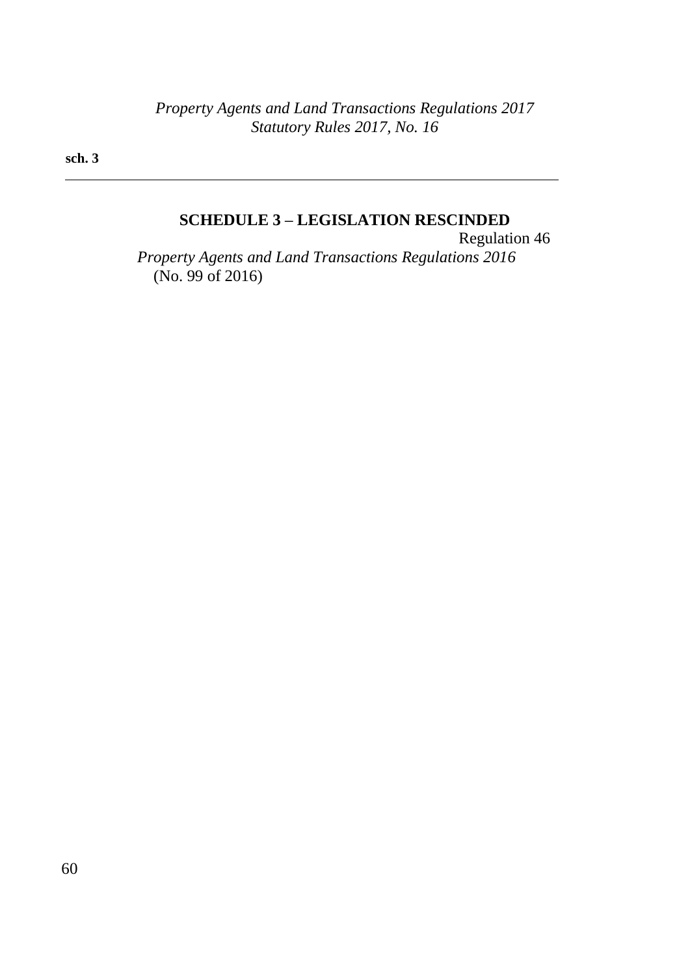**sch. 3**

# **SCHEDULE 3 – LEGISLATION RESCINDED**

Regulation 46 *Property Agents and Land Transactions Regulations 2016* (No. 99 of 2016)